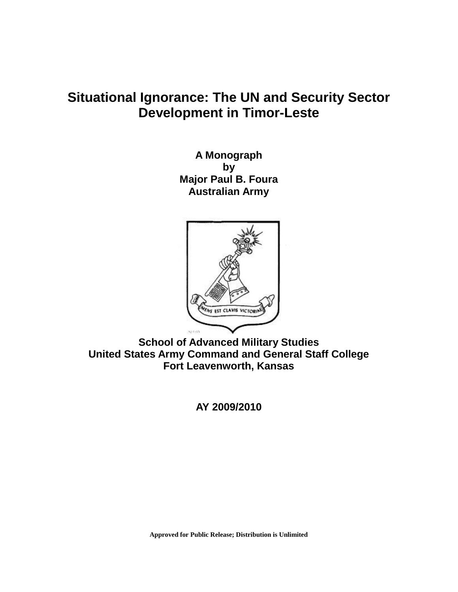# **Situational Ignorance: The UN and Security Sector Development in Timor-Leste**

**A Monograph by Major Paul B. Foura Australian Army**



**School of Advanced Military Studies United States Army Command and General Staff College Fort Leavenworth, Kansas**

**AY 2009/2010**

**Approved for Public Release; Distribution is Unlimited**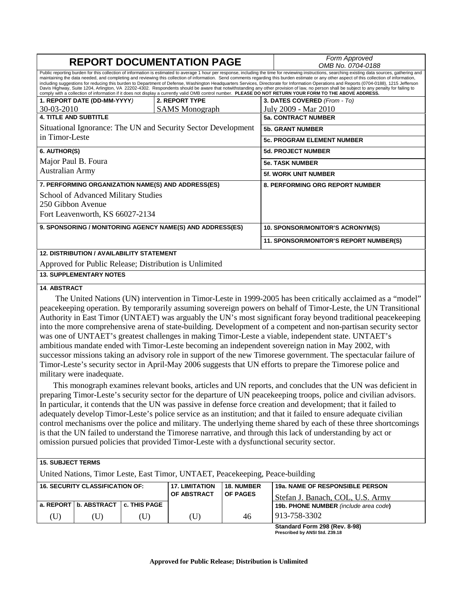| <b>REPORT DOCUMENTATION PAGE</b>                                                                                                                          |                       |                                                                                                                                                                                                                                                                                                                                                                                                                                                                                                                                                                                                                                                                                                                                                                                                   | Form Approved<br>OMB No. 0704-0188      |  |  |
|-----------------------------------------------------------------------------------------------------------------------------------------------------------|-----------------------|---------------------------------------------------------------------------------------------------------------------------------------------------------------------------------------------------------------------------------------------------------------------------------------------------------------------------------------------------------------------------------------------------------------------------------------------------------------------------------------------------------------------------------------------------------------------------------------------------------------------------------------------------------------------------------------------------------------------------------------------------------------------------------------------------|-----------------------------------------|--|--|
| comply with a collection of information if it does not display a currently valid OMB control number. PLEASE DO NOT RETURN YOUR FORM TO THE ABOVE ADDRESS. |                       | Public reporting burden for this collection of information is estimated to average 1 hour per response, including the time for reviewing instructions, searching existing data sources, gathering and<br>maintaining the data needed, and completing and reviewing this collection of information. Send comments regarding this burden estimate or any other aspect of this collection of information,<br>including suggestions for reducing this burden to Department of Defense, Washington Headquarters Services, Directorate for Information Operations and Reports (0704-0188), 1215 Jefferson<br>Davis Highway, Suite 1204, Arlington, VA 22202-4302. Respondents should be aware that notwithstanding any other provision of law, no person shall be subject to any penalty for failing to |                                         |  |  |
| 1. REPORT DATE (DD-MM-YYYY)                                                                                                                               | 2. REPORT TYPE        |                                                                                                                                                                                                                                                                                                                                                                                                                                                                                                                                                                                                                                                                                                                                                                                                   | 3. DATES COVERED (From - To)            |  |  |
| 30-03-2010                                                                                                                                                | <b>SAMS</b> Monograph |                                                                                                                                                                                                                                                                                                                                                                                                                                                                                                                                                                                                                                                                                                                                                                                                   | July 2009 - Mar 2010                    |  |  |
| <b>4. TITLE AND SUBTITLE</b>                                                                                                                              |                       |                                                                                                                                                                                                                                                                                                                                                                                                                                                                                                                                                                                                                                                                                                                                                                                                   | <b>5a. CONTRACT NUMBER</b>              |  |  |
| Situational Ignorance: The UN and Security Sector Development                                                                                             |                       |                                                                                                                                                                                                                                                                                                                                                                                                                                                                                                                                                                                                                                                                                                                                                                                                   | <b>5b. GRANT NUMBER</b>                 |  |  |
| in Timor-Leste                                                                                                                                            |                       |                                                                                                                                                                                                                                                                                                                                                                                                                                                                                                                                                                                                                                                                                                                                                                                                   | <b>5c. PROGRAM ELEMENT NUMBER</b>       |  |  |
| 6. AUTHOR(S)                                                                                                                                              |                       |                                                                                                                                                                                                                                                                                                                                                                                                                                                                                                                                                                                                                                                                                                                                                                                                   | <b>5d. PROJECT NUMBER</b>               |  |  |
| Major Paul B. Foura                                                                                                                                       |                       |                                                                                                                                                                                                                                                                                                                                                                                                                                                                                                                                                                                                                                                                                                                                                                                                   | <b>5e. TASK NUMBER</b>                  |  |  |
| <b>Australian Army</b>                                                                                                                                    |                       |                                                                                                                                                                                                                                                                                                                                                                                                                                                                                                                                                                                                                                                                                                                                                                                                   | <b>5f. WORK UNIT NUMBER</b>             |  |  |
| 7. PERFORMING ORGANIZATION NAME(S) AND ADDRESS(ES)                                                                                                        |                       |                                                                                                                                                                                                                                                                                                                                                                                                                                                                                                                                                                                                                                                                                                                                                                                                   | 8. PERFORMING ORG REPORT NUMBER         |  |  |
| School of Advanced Military Studies                                                                                                                       |                       |                                                                                                                                                                                                                                                                                                                                                                                                                                                                                                                                                                                                                                                                                                                                                                                                   |                                         |  |  |
| 250 Gibbon Avenue                                                                                                                                         |                       |                                                                                                                                                                                                                                                                                                                                                                                                                                                                                                                                                                                                                                                                                                                                                                                                   |                                         |  |  |
| Fort Leavenworth, KS 66027-2134                                                                                                                           |                       |                                                                                                                                                                                                                                                                                                                                                                                                                                                                                                                                                                                                                                                                                                                                                                                                   |                                         |  |  |
| 9. SPONSORING / MONITORING AGENCY NAME(S) AND ADDRESS(ES)                                                                                                 |                       |                                                                                                                                                                                                                                                                                                                                                                                                                                                                                                                                                                                                                                                                                                                                                                                                   | <b>10. SPONSOR/MONITOR'S ACRONYM(S)</b> |  |  |
|                                                                                                                                                           |                       |                                                                                                                                                                                                                                                                                                                                                                                                                                                                                                                                                                                                                                                                                                                                                                                                   | 11. SPONSOR/MONITOR'S REPORT NUMBER(S)  |  |  |
| <b>12. DISTRIBUTION / AVAILABILITY STATEMENT</b>                                                                                                          |                       |                                                                                                                                                                                                                                                                                                                                                                                                                                                                                                                                                                                                                                                                                                                                                                                                   |                                         |  |  |
| Approved for Public Release; Distribution is Unlimited                                                                                                    |                       |                                                                                                                                                                                                                                                                                                                                                                                                                                                                                                                                                                                                                                                                                                                                                                                                   |                                         |  |  |
| <b>13. SUPPLEMENTARY NOTES</b>                                                                                                                            |                       |                                                                                                                                                                                                                                                                                                                                                                                                                                                                                                                                                                                                                                                                                                                                                                                                   |                                         |  |  |

#### **14**. **ABSTRACT**

The United Nations (UN) intervention in Timor-Leste in 1999-2005 has been critically acclaimed as a "model" peacekeeping operation. By temporarily assuming sovereign powers on behalf of Timor-Leste, the UN Transitional Authority in East Timor (UNTAET) was arguably the UN's most significant foray beyond traditional peacekeeping into the more comprehensive arena of state-building. Development of a competent and non-partisan security sector was one of UNTAET's greatest challenges in making Timor-Leste a viable, independent state. UNTAET's ambitious mandate ended with Timor-Leste becoming an independent sovereign nation in May 2002, with successor missions taking an advisory role in support of the new Timorese government. The spectacular failure of Timor-Leste's security sector in April-May 2006 suggests that UN efforts to prepare the Timorese police and military were inadequate.

This monograph examines relevant books, articles and UN reports, and concludes that the UN was deficient in preparing Timor-Leste's security sector for the departure of UN peacekeeping troops, police and civilian advisors. In particular, it contends that the UN was passive in defense force creation and development; that it failed to adequately develop Timor-Leste's police service as an institution; and that it failed to ensure adequate civilian control mechanisms over the police and military. The underlying theme shared by each of these three shortcomings is that the UN failed to understand the Timorese narrative, and through this lack of understanding by act or omission pursued policies that provided Timor-Leste with a dysfunctional security sector.

#### **15. SUBJECT TERMS**

United Nations, Timor Leste, East Timor, UNTAET, Peacekeeping, Peace-building

| <b>16. SECURITY CLASSIFICATION OF:</b> |                                        | <b>17. LIMITATION</b><br><b>OF ABSTRACT</b> | <b>18. NUMBER</b><br><b>OF PAGES</b> | 19a. NAME OF RESPONSIBLE PERSON<br>l Stefan J. Banach. COL. U.S. Armv |                                              |
|----------------------------------------|----------------------------------------|---------------------------------------------|--------------------------------------|-----------------------------------------------------------------------|----------------------------------------------|
|                                        | a. REPORT   b. ABSTRACT   c. THIS PAGE |                                             |                                      |                                                                       | <b>19b. PHONE NUMBER</b> (include area code) |
| U)                                     | U)                                     |                                             | (U)                                  | 46                                                                    | 913-758-3302                                 |

**Standard Form 298 (Rev. 8-98) Prescribed by ANSI Std. Z39.18**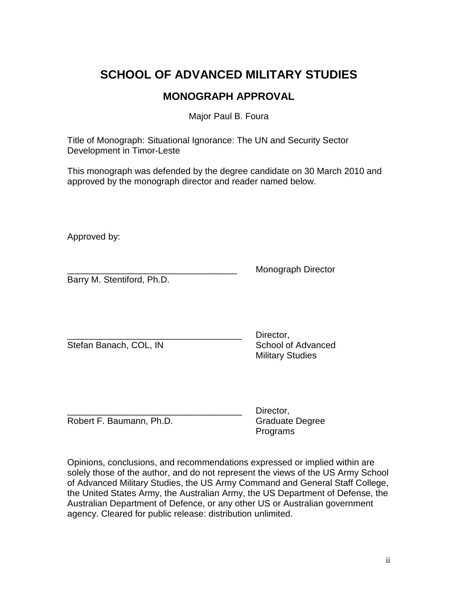## **SCHOOL OF ADVANCED MILITARY STUDIES**

## **MONOGRAPH APPROVAL**

Major Paul B. Foura

Title of Monograph: Situational Ignorance: The UN and Security Sector Development in Timor-Leste

This monograph was defended by the degree candidate on 30 March 2010 and approved by the monograph director and reader named below.

Approved by:

Barry M. Stentiford, Ph.D.

\_\_\_\_\_\_\_\_\_\_\_\_\_\_\_\_\_\_\_\_\_\_\_\_\_\_\_\_\_\_\_\_\_\_ Monograph Director

Stefan Banach, COL, IN School of Advanced

Director. Military Studies

Robert F. Baumann, Ph.D. Graduate Degree

Director. Programs

Opinions, conclusions, and recommendations expressed or implied within are solely those of the author, and do not represent the views of the US Army School of Advanced Military Studies, the US Army Command and General Staff College, the United States Army, the Australian Army, the US Department of Defense, the Australian Department of Defence, or any other US or Australian government agency. Cleared for public release: distribution unlimited.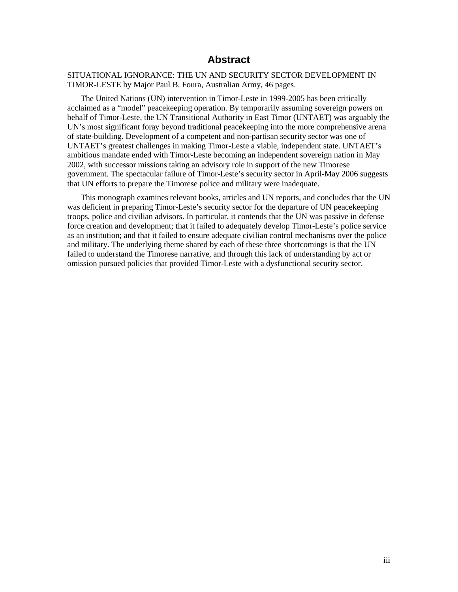## **Abstract**

## SITUATIONAL IGNORANCE: THE UN AND SECURITY SECTOR DEVELOPMENT IN TIMOR-LESTE by Major Paul B. Foura, Australian Army, 46 pages.

The United Nations (UN) intervention in Timor-Leste in 1999-2005 has been critically acclaimed as a "model" peacekeeping operation. By temporarily assuming sovereign powers on behalf of Timor-Leste, the UN Transitional Authority in East Timor (UNTAET) was arguably the UN's most significant foray beyond traditional peacekeeping into the more comprehensive arena of state-building. Development of a competent and non-partisan security sector was one of UNTAET's greatest challenges in making Timor-Leste a viable, independent state. UNTAET's ambitious mandate ended with Timor-Leste becoming an independent sovereign nation in May 2002, with successor missions taking an advisory role in support of the new Timorese government. The spectacular failure of Timor-Leste's security sector in April-May 2006 suggests that UN efforts to prepare the Timorese police and military were inadequate.

This monograph examines relevant books, articles and UN reports, and concludes that the UN was deficient in preparing Timor-Leste's security sector for the departure of UN peacekeeping troops, police and civilian advisors. In particular, it contends that the UN was passive in defense force creation and development; that it failed to adequately develop Timor-Leste's police service as an institution; and that it failed to ensure adequate civilian control mechanisms over the police and military. The underlying theme shared by each of these three shortcomings is that the UN failed to understand the Timorese narrative, and through this lack of understanding by act or omission pursued policies that provided Timor-Leste with a dysfunctional security sector.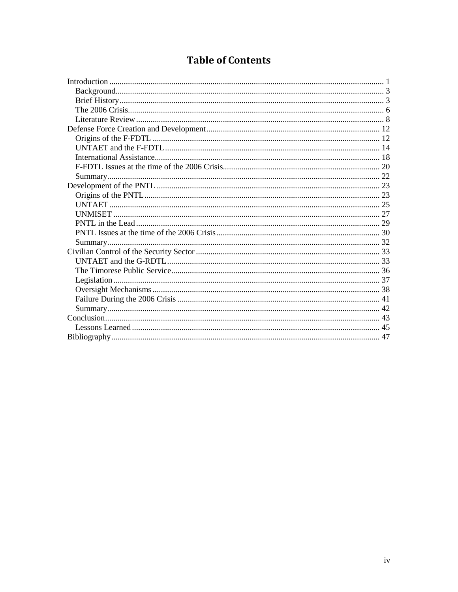## **Table of Contents**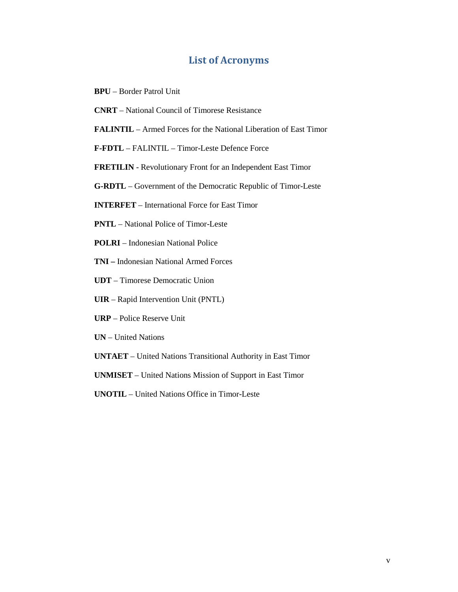## **List of Acronyms**

- **BPU** Border Patrol Unit
- **CNRT** National Council of Timorese Resistance
- **FALINTIL** Armed Forces for the National Liberation of East Timor
- **F-FDTL** FALINTIL Timor-Leste Defence Force
- **FRETILIN** Revolutionary Front for an Independent East Timor
- **G-RDTL** Government of the Democratic Republic of Timor-Leste
- **INTERFET** International Force for East Timor
- **PNTL**  National Police of Timor-Leste
- **POLRI** Indonesian National Police
- **TNI** Indonesian National Armed Forces
- **UDT** Timorese Democratic Union
- **UIR** Rapid Intervention Unit (PNTL)
- **URP** Police Reserve Unit
- **UN** United Nations
- **UNTAET** United Nations Transitional Authority in East Timor
- **UNMISET** United Nations Mission of Support in East Timor
- **UNOTIL** United Nations Office in Timor-Leste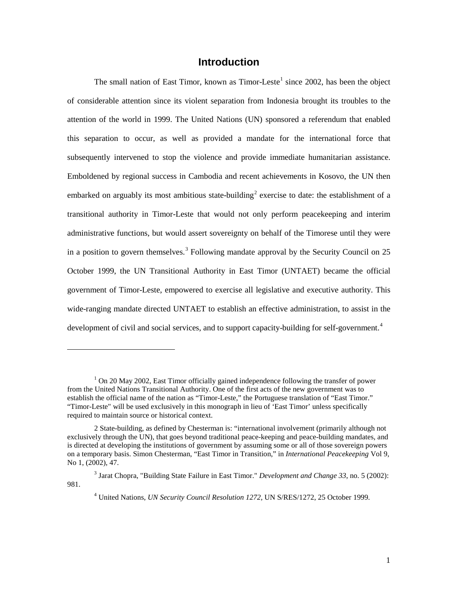## **Introduction**

<span id="page-6-0"></span>The small nation of East Timor, known as Timor-Leste<sup>[1](#page-6-1)</sup> since 2002, has been the object of considerable attention since its violent separation from Indonesia brought its troubles to the attention of the world in 1999. The United Nations (UN) sponsored a referendum that enabled this separation to occur, as well as provided a mandate for the international force that subsequently intervened to stop the violence and provide immediate humanitarian assistance. Emboldened by regional success in Cambodia and recent achievements in Kosovo, the UN then embarked on arguably its most ambitious state-building<sup>[2](#page-6-2)</sup> exercise to date: the establishment of a transitional authority in Timor-Leste that would not only perform peacekeeping and interim administrative functions, but would assert sovereignty on behalf of the Timorese until they were in a position to govern themselves.<sup>[3](#page-6-3)</sup> Following mandate approval by the Security Council on 25 October 1999, the UN Transitional Authority in East Timor (UNTAET) became the official government of Timor-Leste, empowered to exercise all legislative and executive authority. This wide-ranging mandate directed UNTAET to establish an effective administration, to assist in the development of civil and social services, and to support capacity-building for self-government.<sup>[4](#page-6-4)</sup>

<span id="page-6-1"></span> $<sup>1</sup>$  On 20 May 2002, East Timor officially gained independence following the transfer of power</sup> from the United Nations Transitional Authority. One of the first acts of the new government was to establish the official name of the nation as "Timor-Leste," the Portuguese translation of "East Timor." "Timor-Leste" will be used exclusively in this monograph in lieu of 'East Timor' unless specifically required to maintain source or historical context.

<span id="page-6-2"></span><sup>2</sup> State-building, as defined by Chesterman is: "international involvement (primarily although not exclusively through the UN), that goes beyond traditional peace-keeping and peace-building mandates, and is directed at developing the institutions of government by assuming some or all of those sovereign powers on a temporary basis. Simon Chesterman, "East Timor in Transition," in *International Peacekeeping* Vol 9, No 1, (2002), 47.

<span id="page-6-4"></span><span id="page-6-3"></span><sup>3</sup> Jarat Chopra, "Building State Failure in East Timor." *Development and Change 33*, no. 5 (2002): 981.

<sup>4</sup> United Nations, *UN Security Council Resolution 1272,* UN S/RES/1272, 25 October 1999.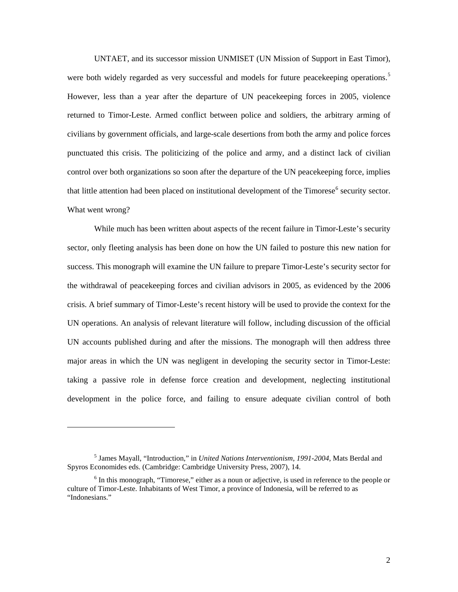UNTAET, and its successor mission UNMISET (UN Mission of Support in East Timor), were both widely regarded as very successful and models for future peacekeeping operations.<sup>[5](#page-7-0)</sup> However, less than a year after the departure of UN peacekeeping forces in 2005, violence returned to Timor-Leste. Armed conflict between police and soldiers, the arbitrary arming of civilians by government officials, and large-scale desertions from both the army and police forces punctuated this crisis. The politicizing of the police and army, and a distinct lack of civilian control over both organizations so soon after the departure of the UN peacekeeping force, implies that little attention had been placed on institutional development of the Timorese<sup>[6](#page-7-1)</sup> security sector. What went wrong?

While much has been written about aspects of the recent failure in Timor-Leste's security sector, only fleeting analysis has been done on how the UN failed to posture this new nation for success. This monograph will examine the UN failure to prepare Timor-Leste's security sector for the withdrawal of peacekeeping forces and civilian advisors in 2005, as evidenced by the 2006 crisis. A brief summary of Timor-Leste's recent history will be used to provide the context for the UN operations. An analysis of relevant literature will follow, including discussion of the official UN accounts published during and after the missions. The monograph will then address three major areas in which the UN was negligent in developing the security sector in Timor-Leste: taking a passive role in defense force creation and development, neglecting institutional development in the police force, and failing to ensure adequate civilian control of both

<span id="page-7-0"></span><sup>5</sup> James Mayall, "Introduction," in *United Nations Interventionism, 1991-2004,* Mats Berdal and Spyros Economides eds. (Cambridge: Cambridge University Press, 2007), 14.

<span id="page-7-1"></span> $<sup>6</sup>$  In this monograph, "Timorese," either as a noun or adjective, is used in reference to the people or</sup> culture of Timor-Leste. Inhabitants of West Timor, a province of Indonesia, will be referred to as "Indonesians."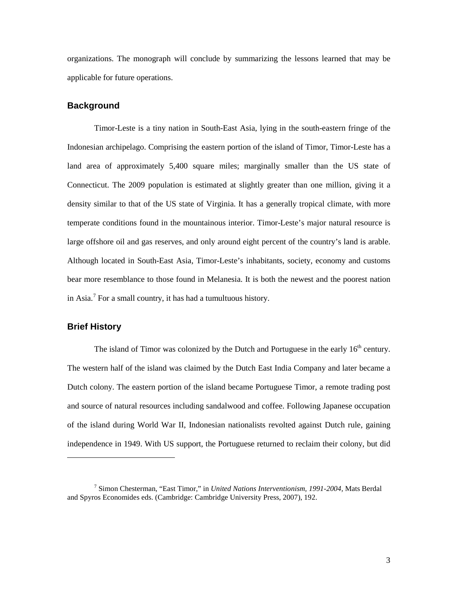organizations. The monograph will conclude by summarizing the lessons learned that may be applicable for future operations.

#### <span id="page-8-0"></span>**Background**

Timor-Leste is a tiny nation in South-East Asia, lying in the south-eastern fringe of the Indonesian archipelago. Comprising the eastern portion of the island of Timor, Timor-Leste has a land area of approximately 5,400 square miles; marginally smaller than the US state of Connecticut. The 2009 population is estimated at slightly greater than one million, giving it a density similar to that of the US state of Virginia. It has a generally tropical climate, with more temperate conditions found in the mountainous interior. Timor-Leste's major natural resource is large offshore oil and gas reserves, and only around eight percent of the country's land is arable. Although located in South-East Asia, Timor-Leste's inhabitants, society, economy and customs bear more resemblance to those found in Melanesia. It is both the newest and the poorest nation in Asia.[7](#page-8-2) For a small country, it has had a tumultuous history.

## <span id="page-8-1"></span>**Brief History**

 $\overline{a}$ 

The island of Timor was colonized by the Dutch and Portuguese in the early  $16<sup>th</sup>$  century. The western half of the island was claimed by the Dutch East India Company and later became a Dutch colony. The eastern portion of the island became Portuguese Timor, a remote trading post and source of natural resources including sandalwood and coffee. Following Japanese occupation of the island during World War II, Indonesian nationalists revolted against Dutch rule, gaining independence in 1949. With US support, the Portuguese returned to reclaim their colony, but did

<span id="page-8-2"></span><sup>7</sup> Simon Chesterman, "East Timor," in *United Nations Interventionism, 1991-2004,* Mats Berdal and Spyros Economides eds. (Cambridge: Cambridge University Press, 2007), 192.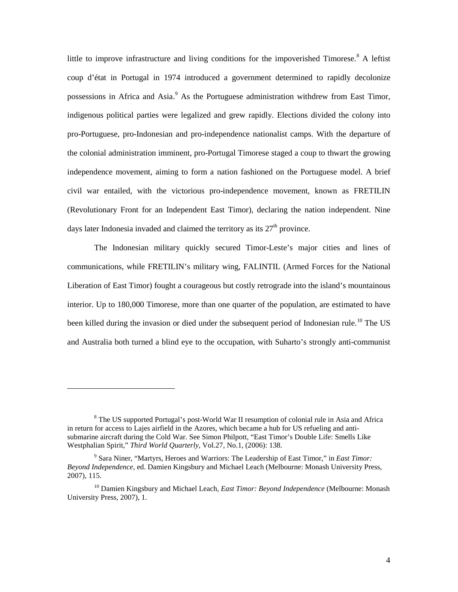little to improve infrastructure and living conditions for the impoverished Timorese.<sup>[8](#page-9-0)</sup> A leftist coup d'état in Portugal in 1974 introduced a government determined to rapidly decolonize possessions in Africa and Asia.<sup>[9](#page-9-1)</sup> As the Portuguese administration withdrew from East Timor, indigenous political parties were legalized and grew rapidly. Elections divided the colony into pro-Portuguese, pro-Indonesian and pro-independence nationalist camps. With the departure of the colonial administration imminent, pro-Portugal Timorese staged a coup to thwart the growing independence movement, aiming to form a nation fashioned on the Portuguese model. A brief civil war entailed, with the victorious pro-independence movement, known as FRETILIN (Revolutionary Front for an Independent East Timor), declaring the nation independent. Nine days later Indonesia invaded and claimed the territory as its  $27<sup>th</sup>$  province.

The Indonesian military quickly secured Timor-Leste's major cities and lines of communications, while FRETILIN's military wing, FALINTIL (Armed Forces for the National Liberation of East Timor) fought a courageous but costly retrograde into the island's mountainous interior. Up to 180,000 Timorese, more than one quarter of the population, are estimated to have been killed during the invasion or died under the subsequent period of Indonesian rule.<sup>[10](#page-9-2)</sup> The US and Australia both turned a blind eye to the occupation, with Suharto's strongly anti-communist

<span id="page-9-0"></span><sup>&</sup>lt;sup>8</sup> The US supported Portugal's post-World War II resumption of colonial rule in Asia and Africa in return for access to Lajes airfield in the Azores, which became a hub for US refueling and antisubmarine aircraft during the Cold War. See Simon Philpott, "East Timor's Double Life: Smells Like Westphalian Spirit," *Third World Quarterly,* Vol.27, No.1, (2006): 138.

<span id="page-9-1"></span><sup>9</sup> Sara Niner, "Martyrs, Heroes and Warriors: The Leadership of East Timor," in *East Timor: Beyond Independence*, ed. Damien Kingsbury and Michael Leach (Melbourne: Monash University Press, 2007), 115.

<span id="page-9-2"></span><sup>10</sup> Damien Kingsbury and Michael Leach, *East Timor: Beyond Independence* (Melbourne: Monash University Press, 2007), 1.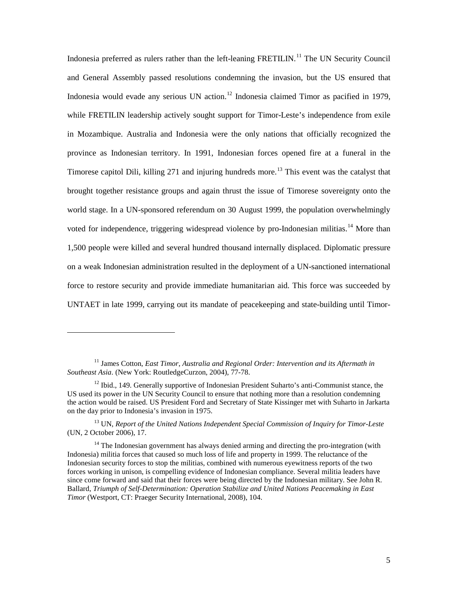Indonesia preferred as rulers rather than the left-leaning FRETILIN.<sup>[11](#page-10-0)</sup> The UN Security Council and General Assembly passed resolutions condemning the invasion, but the US ensured that Indonesia would evade any serious UN action.<sup>[12](#page-10-1)</sup> Indonesia claimed Timor as pacified in 1979, while FRETILIN leadership actively sought support for Timor-Leste's independence from exile in Mozambique. Australia and Indonesia were the only nations that officially recognized the province as Indonesian territory. In 1991, Indonesian forces opened fire at a funeral in the Timorese capitol Dili, killing  $271$  and injuring hundreds more.<sup>[13](#page-10-2)</sup> This event was the catalyst that brought together resistance groups and again thrust the issue of Timorese sovereignty onto the world stage. In a UN-sponsored referendum on 30 August 1999, the population overwhelmingly voted for independence, triggering widespread violence by pro-Indonesian militias.<sup>[14](#page-10-3)</sup> More than 1,500 people were killed and several hundred thousand internally displaced. Diplomatic pressure on a weak Indonesian administration resulted in the deployment of a UN-sanctioned international force to restore security and provide immediate humanitarian aid. This force was succeeded by UNTAET in late 1999, carrying out its mandate of peacekeeping and state-building until Timor-

 $\overline{a}$ 

<span id="page-10-2"></span><sup>13</sup> UN, *Report of the United Nations Independent Special Commission of Inquiry for Timor-Leste*  (UN, 2 October 2006), 17.

<span id="page-10-0"></span><sup>11</sup> James Cotton, *East Timor*, *Australia and Regional Order: Intervention and its Aftermath in Southeast Asia*. (New York: RoutledgeCurzon, 2004), 77-78.

<span id="page-10-1"></span> $12$  Ibid., 149. Generally supportive of Indonesian President Suharto's anti-Communist stance, the US used its power in the UN Security Council to ensure that nothing more than a resolution condemning the action would be raised. US President Ford and Secretary of State Kissinger met with Suharto in Jarkarta on the day prior to Indonesia's invasion in 1975.

<span id="page-10-3"></span><sup>&</sup>lt;sup>14</sup> The Indonesian government has always denied arming and directing the pro-integration (with Indonesia) militia forces that caused so much loss of life and property in 1999. The reluctance of the Indonesian security forces to stop the militias, combined with numerous eyewitness reports of the two forces working in unison, is compelling evidence of Indonesian compliance. Several militia leaders have since come forward and said that their forces were being directed by the Indonesian military. See John R. Ballard, *Triumph of Self-Determination: Operation Stabilize and United Nations Peacemaking in East Timor* (Westport, CT: Praeger Security International, 2008), 104.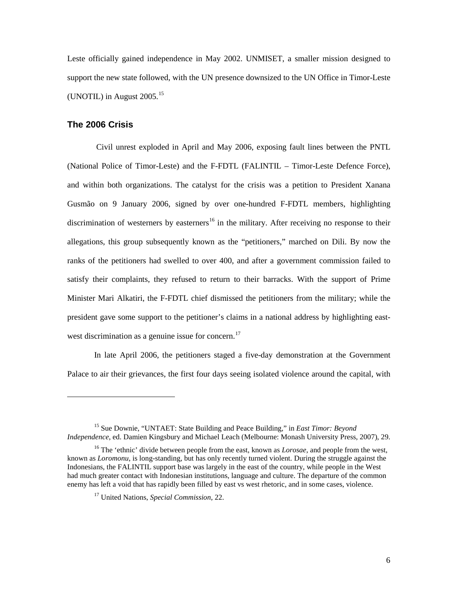Leste officially gained independence in May 2002. UNMISET, a smaller mission designed to support the new state followed, with the UN presence downsized to the UN Office in Timor-Leste (UNOTIL) in August  $2005.<sup>15</sup>$  $2005.<sup>15</sup>$  $2005.<sup>15</sup>$ 

## <span id="page-11-0"></span>**The 2006 Crisis**

 $\overline{a}$ 

Civil unrest exploded in April and May 2006, exposing fault lines between the PNTL (National Police of Timor-Leste) and the F-FDTL (FALINTIL – Timor-Leste Defence Force), and within both organizations. The catalyst for the crisis was a petition to President Xanana Gusmão on 9 January 2006, signed by over one-hundred F-FDTL members, highlighting discrimination of westerners by easterners<sup>[16](#page-11-2)</sup> in the military. After receiving no response to their allegations, this group subsequently known as the "petitioners," marched on Dili. By now the ranks of the petitioners had swelled to over 400, and after a government commission failed to satisfy their complaints, they refused to return to their barracks. With the support of Prime Minister Mari Alkatiri, the F-FDTL chief dismissed the petitioners from the military; while the president gave some support to the petitioner's claims in a national address by highlighting east-west discrimination as a genuine issue for concern.<sup>[17](#page-11-3)</sup>

In late April 2006, the petitioners staged a five-day demonstration at the Government Palace to air their grievances, the first four days seeing isolated violence around the capital, with

<span id="page-11-1"></span><sup>15</sup> Sue Downie, "UNTAET: State Building and Peace Building," in *East Timor: Beyond Independence*, ed. Damien Kingsbury and Michael Leach (Melbourne: Monash University Press, 2007), 29.

<span id="page-11-3"></span><span id="page-11-2"></span><sup>&</sup>lt;sup>16</sup> The 'ethnic' divide between people from the east, known as *Lorosae*, and people from the west, known as *Loromonu*, is long-standing, but has only recently turned violent. During the struggle against the Indonesians, the FALINTIL support base was largely in the east of the country, while people in the West had much greater contact with Indonesian institutions, language and culture. The departure of the common enemy has left a void that has rapidly been filled by east vs west rhetoric, and in some cases, violence.

<sup>17</sup> United Nations, *Special Commission*, 22.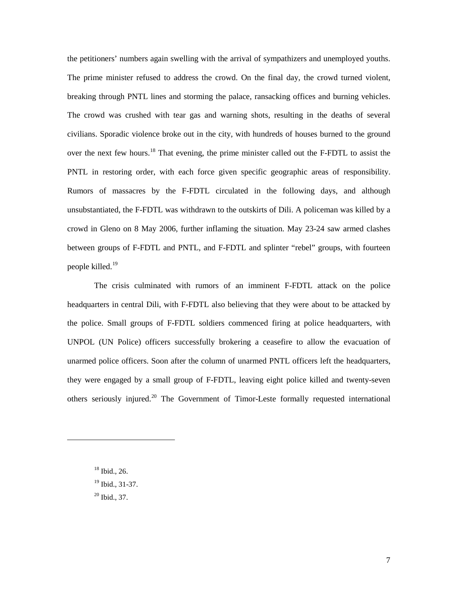the petitioners' numbers again swelling with the arrival of sympathizers and unemployed youths. The prime minister refused to address the crowd. On the final day, the crowd turned violent, breaking through PNTL lines and storming the palace, ransacking offices and burning vehicles. The crowd was crushed with tear gas and warning shots, resulting in the deaths of several civilians. Sporadic violence broke out in the city, with hundreds of houses burned to the ground over the next few hours.<sup>[18](#page-12-0)</sup> That evening, the prime minister called out the F-FDTL to assist the PNTL in restoring order, with each force given specific geographic areas of responsibility. Rumors of massacres by the F-FDTL circulated in the following days, and although unsubstantiated, the F-FDTL was withdrawn to the outskirts of Dili. A policeman was killed by a crowd in Gleno on 8 May 2006, further inflaming the situation. May 23-24 saw armed clashes between groups of F-FDTL and PNTL, and F-FDTL and splinter "rebel" groups, with fourteen people killed.<sup>[19](#page-12-1)</sup>

The crisis culminated with rumors of an imminent F-FDTL attack on the police headquarters in central Dili, with F-FDTL also believing that they were about to be attacked by the police. Small groups of F-FDTL soldiers commenced firing at police headquarters, with UNPOL (UN Police) officers successfully brokering a ceasefire to allow the evacuation of unarmed police officers. Soon after the column of unarmed PNTL officers left the headquarters, they were engaged by a small group of F-FDTL, leaving eight police killed and twenty-seven others seriously injured.<sup>[20](#page-12-2)</sup> The Government of Timor-Leste formally requested international

<sup>18</sup> Ibid., 26.

<span id="page-12-2"></span><span id="page-12-1"></span><span id="page-12-0"></span> $\overline{a}$ 

 $19$  Ibid., 31-37.

<sup>20</sup> Ibid., 37.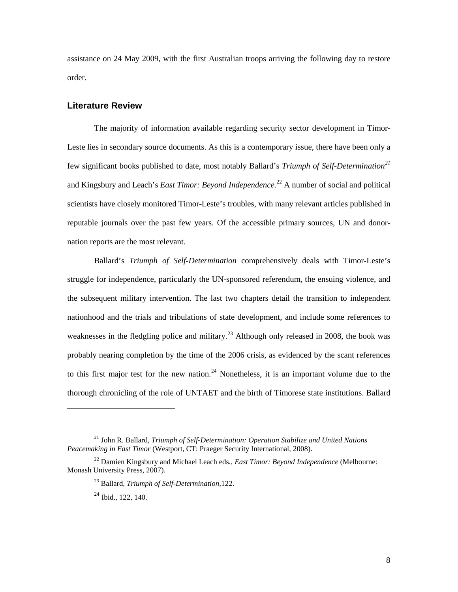assistance on 24 May 2009, with the first Australian troops arriving the following day to restore order.

### <span id="page-13-0"></span>**Literature Review**

The majority of information available regarding security sector development in Timor-Leste lies in secondary source documents. As this is a contemporary issue, there have been only a few significant books published to date, most notably Ballard's *Triumph of Self-Determination[21](#page-13-1)* and Kingsbury and Leach's *East Timor: Beyond Independence*. [22](#page-13-2) A number of social and political scientists have closely monitored Timor-Leste's troubles, with many relevant articles published in reputable journals over the past few years. Of the accessible primary sources, UN and donornation reports are the most relevant.

Ballard's *Triumph of Self-Determination* comprehensively deals with Timor-Leste's struggle for independence, particularly the UN-sponsored referendum, the ensuing violence, and the subsequent military intervention. The last two chapters detail the transition to independent nationhood and the trials and tribulations of state development, and include some references to weaknesses in the fledgling police and military.<sup>[23](#page-13-3)</sup> Although only released in 2008, the book was probably nearing completion by the time of the 2006 crisis, as evidenced by the scant references to this first major test for the new nation.<sup>[24](#page-13-4)</sup> Nonetheless, it is an important volume due to the thorough chronicling of the role of UNTAET and the birth of Timorese state institutions. Ballard

<span id="page-13-1"></span><sup>21</sup> John R. Ballard, *Triumph of Self-Determination: Operation Stabilize and United Nations Peacemaking in East Timor* (Westport, CT: Praeger Security International, 2008).

<span id="page-13-4"></span><span id="page-13-3"></span><span id="page-13-2"></span><sup>22</sup> Damien Kingsbury and Michael Leach eds*., East Timor: Beyond Independence* (Melbourne: Monash University Press, 2007).

<sup>23</sup> Ballard, *Triumph of Self-Determination,*122.

 $^{24}$  Ibid., 122, 140.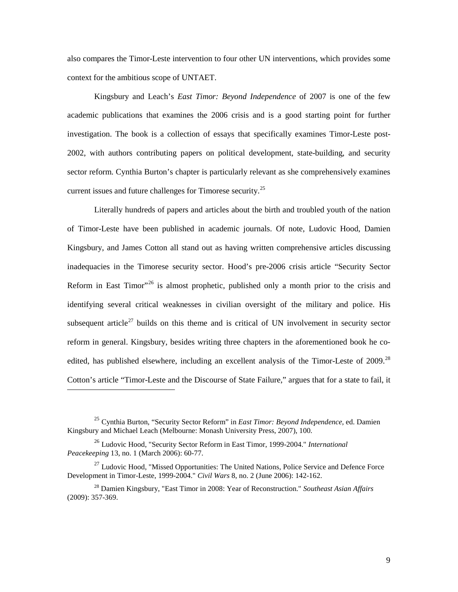also compares the Timor-Leste intervention to four other UN interventions, which provides some context for the ambitious scope of UNTAET.

Kingsbury and Leach's *East Timor: Beyond Independence* of 2007 is one of the few academic publications that examines the 2006 crisis and is a good starting point for further investigation. The book is a collection of essays that specifically examines Timor-Leste post-2002, with authors contributing papers on political development, state-building, and security sector reform. Cynthia Burton's chapter is particularly relevant as she comprehensively examines current issues and future challenges for Timorese security.<sup>[25](#page-14-0)</sup>

Literally hundreds of papers and articles about the birth and troubled youth of the nation of Timor-Leste have been published in academic journals. Of note, Ludovic Hood, Damien Kingsbury, and James Cotton all stand out as having written comprehensive articles discussing inadequacies in the Timorese security sector. Hood's pre-2006 crisis article "Security Sector Reform in East Timor"<sup>[26](#page-14-1)</sup> is almost prophetic, published only a month prior to the crisis and identifying several critical weaknesses in civilian oversight of the military and police. His subsequent article<sup>[27](#page-14-2)</sup> builds on this theme and is critical of UN involvement in security sector reform in general. Kingsbury, besides writing three chapters in the aforementioned book he co-edited, has published elsewhere, including an excellent analysis of the Timor-Leste of 2009.<sup>[28](#page-14-3)</sup> Cotton's article "Timor-Leste and the Discourse of State Failure," argues that for a state to fail, it

<span id="page-14-0"></span><sup>25</sup> Cynthia Burton, "Security Sector Reform" in *East Timor: Beyond Independence*, ed. Damien Kingsbury and Michael Leach (Melbourne: Monash University Press, 2007), 100.

<span id="page-14-1"></span><sup>26</sup> Ludovic Hood, "Security Sector Reform in East Timor, 1999-2004." *International Peacekeeping* 13, no. 1 (March 2006): 60-77.

<span id="page-14-2"></span> $^{27}$  Ludovic Hood, "Missed Opportunities: The United Nations, Police Service and Defence Force Development in Timor-Leste, 1999-2004." *Civil Wars* 8, no. 2 (June 2006): 142-162.

<span id="page-14-3"></span><sup>28</sup> Damien Kingsbury, "East Timor in 2008: Year of Reconstruction." *Southeast Asian Affairs* (2009): 357-369.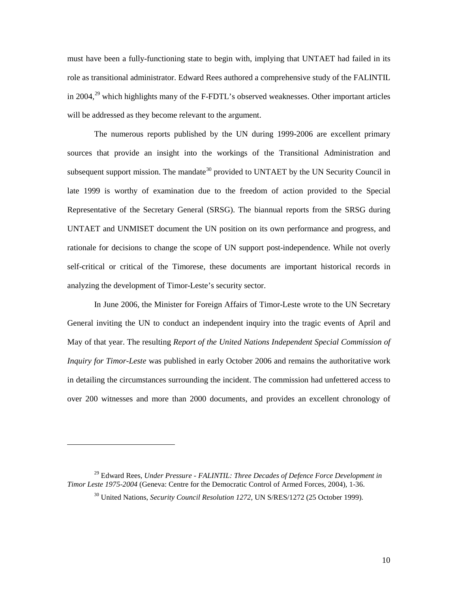must have been a fully-functioning state to begin with, implying that UNTAET had failed in its role as transitional administrator. Edward Rees authored a comprehensive study of the FALINTIL in 2004, $^{29}$  $^{29}$  $^{29}$  which highlights many of the F-FDTL's observed weaknesses. Other important articles will be addressed as they become relevant to the argument.

The numerous reports published by the UN during 1999-2006 are excellent primary sources that provide an insight into the workings of the Transitional Administration and subsequent support mission. The mandate<sup>[30](#page-15-1)</sup> provided to UNTAET by the UN Security Council in late 1999 is worthy of examination due to the freedom of action provided to the Special Representative of the Secretary General (SRSG). The biannual reports from the SRSG during UNTAET and UNMISET document the UN position on its own performance and progress, and rationale for decisions to change the scope of UN support post-independence. While not overly self-critical or critical of the Timorese, these documents are important historical records in analyzing the development of Timor-Leste's security sector.

In June 2006, the Minister for Foreign Affairs of Timor-Leste wrote to the UN Secretary General inviting the UN to conduct an independent inquiry into the tragic events of April and May of that year. The resulting *Report of the United Nations Independent Special Commission of Inquiry for Timor-Leste* was published in early October 2006 and remains the authoritative work in detailing the circumstances surrounding the incident. The commission had unfettered access to over 200 witnesses and more than 2000 documents, and provides an excellent chronology of

<span id="page-15-1"></span><span id="page-15-0"></span><sup>29</sup> Edward Rees, *Under Pressure - FALINTIL: Three Decades of Defence Force Development in Timor Leste 1975-2004* (Geneva: Centre for the Democratic Control of Armed Forces, 2004), 1-36.

<sup>30</sup> United Nations, *Security Council Resolution 1272,* UN S/RES/1272 (25 October 1999).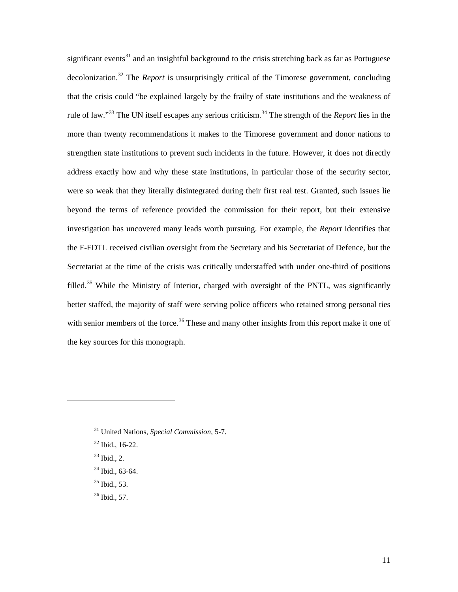significant events<sup>[31](#page-16-0)</sup> and an insightful background to the crisis stretching back as far as Portuguese decolonization.[32](#page-16-1) The *Report* is unsurprisingly critical of the Timorese government, concluding that the crisis could "be explained largely by the frailty of state institutions and the weakness of rule of law."<sup>[33](#page-16-2)</sup> The UN itself escapes any serious criticism.<sup>[34](#page-16-3)</sup> The strength of the *Report* lies in the more than twenty recommendations it makes to the Timorese government and donor nations to strengthen state institutions to prevent such incidents in the future. However, it does not directly address exactly how and why these state institutions, in particular those of the security sector, were so weak that they literally disintegrated during their first real test. Granted, such issues lie beyond the terms of reference provided the commission for their report, but their extensive investigation has uncovered many leads worth pursuing. For example, the *Report* identifies that the F-FDTL received civilian oversight from the Secretary and his Secretariat of Defence, but the Secretariat at the time of the crisis was critically understaffed with under one-third of positions filled.<sup>[35](#page-16-4)</sup> While the Ministry of Interior, charged with oversight of the PNTL, was significantly better staffed, the majority of staff were serving police officers who retained strong personal ties with senior members of the force.<sup>[36](#page-16-5)</sup> These and many other insights from this report make it one of the key sources for this monograph.

<span id="page-16-2"></span> $33$  Ibid., 2.

- <span id="page-16-3"></span><sup>34</sup> Ibid., 63-64.
- <span id="page-16-4"></span><sup>35</sup> Ibid.*,* 53.
- <span id="page-16-5"></span><sup>36</sup> Ibid.*,* 57.

<span id="page-16-0"></span><sup>31</sup> United Nations, *Special Commission,* 5-7.

<span id="page-16-1"></span><sup>32</sup> Ibid., 16-22.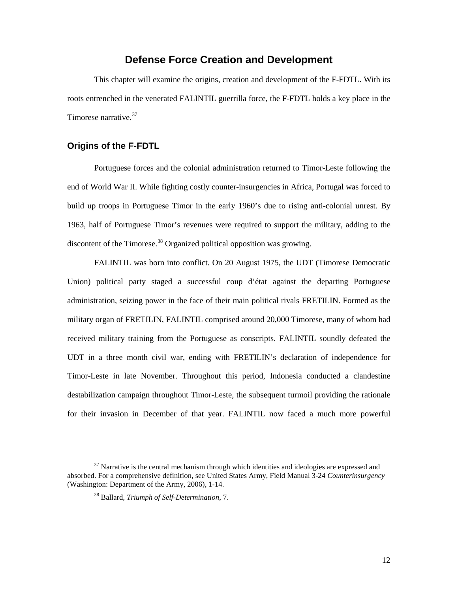## **Defense Force Creation and Development**

<span id="page-17-0"></span>This chapter will examine the origins, creation and development of the F-FDTL. With its roots entrenched in the venerated FALINTIL guerrilla force, the F-FDTL holds a key place in the Timorese narrative.<sup>[37](#page-17-2)</sup>

## <span id="page-17-1"></span>**Origins of the F-FDTL**

 $\overline{a}$ 

Portuguese forces and the colonial administration returned to Timor-Leste following the end of World War II. While fighting costly counter-insurgencies in Africa, Portugal was forced to build up troops in Portuguese Timor in the early 1960's due to rising anti-colonial unrest. By 1963, half of Portuguese Timor's revenues were required to support the military, adding to the discontent of the Timorese.<sup>[38](#page-17-3)</sup> Organized political opposition was growing.

FALINTIL was born into conflict. On 20 August 1975, the UDT (Timorese Democratic Union) political party staged a successful coup d'état against the departing Portuguese administration, seizing power in the face of their main political rivals FRETILIN. Formed as the military organ of FRETILIN, FALINTIL comprised around 20,000 Timorese, many of whom had received military training from the Portuguese as conscripts. FALINTIL soundly defeated the UDT in a three month civil war, ending with FRETILIN's declaration of independence for Timor-Leste in late November. Throughout this period, Indonesia conducted a clandestine destabilization campaign throughout Timor-Leste, the subsequent turmoil providing the rationale for their invasion in December of that year. FALINTIL now faced a much more powerful

<span id="page-17-3"></span><span id="page-17-2"></span> $37$  Narrative is the central mechanism through which identities and ideologies are expressed and absorbed. For a comprehensive definition, see United States Army, Field Manual 3-24 *Counterinsurgency* (Washington: Department of the Army, 2006), 1-14.

<sup>38</sup> Ballard, *Triumph of Self-Determination*, 7.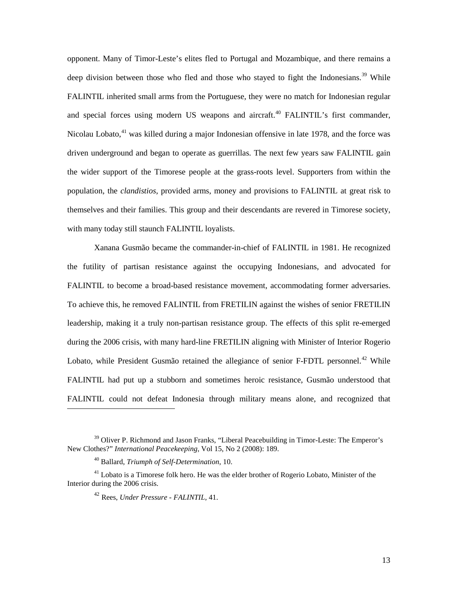opponent. Many of Timor-Leste's elites fled to Portugal and Mozambique, and there remains a deep division between those who fled and those who stayed to fight the Indonesians.<sup>[39](#page-18-0)</sup> While FALINTIL inherited small arms from the Portuguese, they were no match for Indonesian regular and special forces using modern US weapons and aircraft.<sup>[40](#page-18-1)</sup> FALINTIL's first commander, Nicolau Lobato,<sup>[41](#page-18-2)</sup> was killed during a major Indonesian offensive in late 1978, and the force was driven underground and began to operate as guerrillas. The next few years saw FALINTIL gain the wider support of the Timorese people at the grass-roots level. Supporters from within the population, the *clandistios*, provided arms, money and provisions to FALINTIL at great risk to themselves and their families. This group and their descendants are revered in Timorese society, with many today still staunch FALINTIL loyalists.

Xanana Gusmão became the commander-in-chief of FALINTIL in 1981. He recognized the futility of partisan resistance against the occupying Indonesians, and advocated for FALINTIL to become a broad-based resistance movement, accommodating former adversaries. To achieve this, he removed FALINTIL from FRETILIN against the wishes of senior FRETILIN leadership, making it a truly non-partisan resistance group. The effects of this split re-emerged during the 2006 crisis, with many hard-line FRETILIN aligning with Minister of Interior Rogerio Lobato, while President Gusmão retained the allegiance of senior F-FDTL personnel.<sup>[42](#page-18-3)</sup> While FALINTIL had put up a stubborn and sometimes heroic resistance, Gusmão understood that FALINTIL could not defeat Indonesia through military means alone, and recognized that

<span id="page-18-0"></span><sup>39</sup> Oliver P. Richmond and Jason Franks, "Liberal Peacebuilding in Timor-Leste: The Emperor's New Clothes?" *International Peacekeeping*, Vol 15, No 2 (2008): 189.

<sup>40</sup> Ballard, *Triumph of Self-Determination*, 10.

<span id="page-18-3"></span><span id="page-18-2"></span><span id="page-18-1"></span><sup>&</sup>lt;sup>41</sup> Lobato is a Timorese folk hero. He was the elder brother of Rogerio Lobato, Minister of the Interior during the 2006 crisis.

<sup>42</sup> Rees, *Under Pressure - FALINTIL*, 41.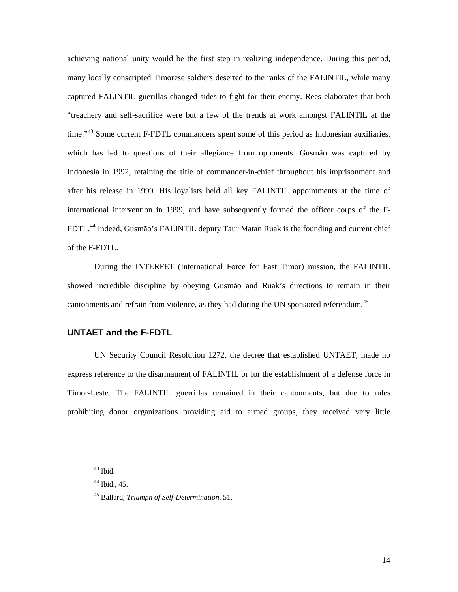achieving national unity would be the first step in realizing independence. During this period, many locally conscripted Timorese soldiers deserted to the ranks of the FALINTIL, while many captured FALINTIL guerillas changed sides to fight for their enemy. Rees elaborates that both "treachery and self-sacrifice were but a few of the trends at work amongst FALINTIL at the time."<sup>[43](#page-19-1)</sup> Some current F-FDTL commanders spent some of this period as Indonesian auxiliaries, which has led to questions of their allegiance from opponents. Gusmão was captured by Indonesia in 1992, retaining the title of commander-in-chief throughout his imprisonment and after his release in 1999. His loyalists held all key FALINTIL appointments at the time of international intervention in 1999, and have subsequently formed the officer corps of the F-FDTL.<sup>[44](#page-19-2)</sup> Indeed, Gusmão's FALINTIL deputy Taur Matan Ruak is the founding and current chief of the F-FDTL.

During the INTERFET (International Force for East Timor) mission, the FALINTIL showed incredible discipline by obeying Gusmão and Ruak's directions to remain in their cantonments and refrain from violence, as they had during the UN sponsored referendum.<sup>[45](#page-19-3)</sup>

## <span id="page-19-0"></span>**UNTAET and the F-FDTL**

UN Security Council Resolution 1272, the decree that established UNTAET, made no express reference to the disarmament of FALINTIL or for the establishment of a defense force in Timor-Leste. The FALINTIL guerrillas remained in their cantonments, but due to rules prohibiting donor organizations providing aid to armed groups, they received very little

<span id="page-19-1"></span><sup>43</sup> Ibid.

<span id="page-19-2"></span> $44$  Ibid., 45.

<span id="page-19-3"></span><sup>45</sup> Ballard, *Triumph of Self-Determination*, 51.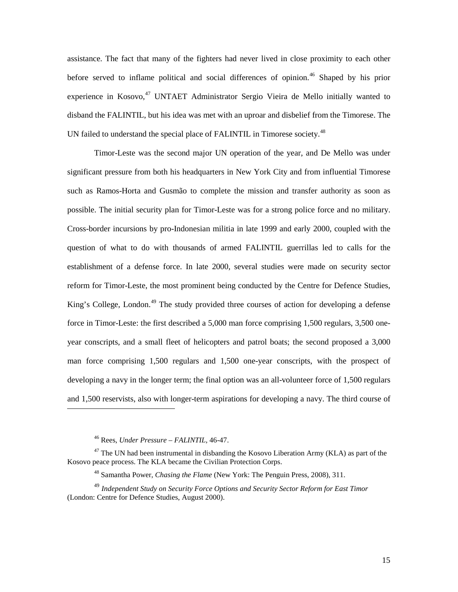assistance. The fact that many of the fighters had never lived in close proximity to each other before served to inflame political and social differences of opinion.<sup>[46](#page-20-0)</sup> Shaped by his prior experience in Kosovo,<sup>[47](#page-20-1)</sup> UNTAET Administrator Sergio Vieira de Mello initially wanted to disband the FALINTIL, but his idea was met with an uproar and disbelief from the Timorese. The UN failed to understand the special place of FALINTIL in Timorese society.<sup>[48](#page-20-2)</sup>

Timor-Leste was the second major UN operation of the year, and De Mello was under significant pressure from both his headquarters in New York City and from influential Timorese such as Ramos-Horta and Gusmão to complete the mission and transfer authority as soon as possible. The initial security plan for Timor-Leste was for a strong police force and no military. Cross-border incursions by pro-Indonesian militia in late 1999 and early 2000, coupled with the question of what to do with thousands of armed FALINTIL guerrillas led to calls for the establishment of a defense force. In late 2000, several studies were made on security sector reform for Timor-Leste, the most prominent being conducted by the Centre for Defence Studies, King's College, London.<sup>[49](#page-20-3)</sup> The study provided three courses of action for developing a defense force in Timor-Leste: the first described a 5,000 man force comprising 1,500 regulars, 3,500 oneyear conscripts, and a small fleet of helicopters and patrol boats; the second proposed a 3,000 man force comprising 1,500 regulars and 1,500 one-year conscripts, with the prospect of developing a navy in the longer term; the final option was an all-volunteer force of 1,500 regulars and 1,500 reservists, also with longer-term aspirations for developing a navy. The third course of

<sup>46</sup> Rees, *Under Pressure – FALINTIL,* 46-47.

<span id="page-20-1"></span><span id="page-20-0"></span> $47$  The UN had been instrumental in disbanding the Kosovo Liberation Army (KLA) as part of the Kosovo peace process. The KLA became the Civilian Protection Corps.

<sup>48</sup> Samantha Power, *Chasing the Flame* (New York: The Penguin Press, 2008), 311.

<span id="page-20-3"></span><span id="page-20-2"></span><sup>49</sup> *Independent Study on Security Force Options and Security Sector Reform for East Timor* (London: Centre for Defence Studies, August 2000).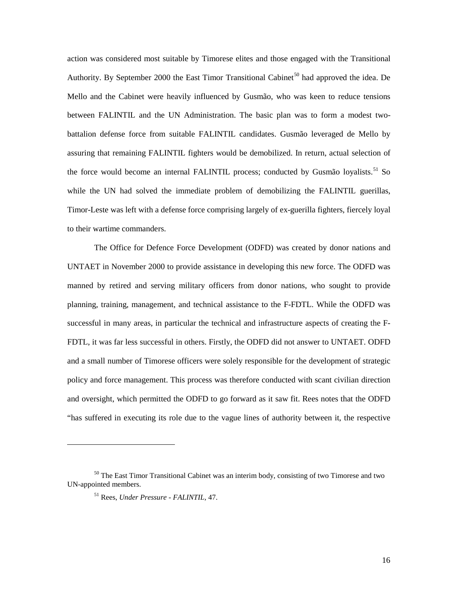action was considered most suitable by Timorese elites and those engaged with the Transitional Authority. By September 2000 the East Timor Transitional Cabinet<sup>[50](#page-21-0)</sup> had approved the idea. De Mello and the Cabinet were heavily influenced by Gusmão, who was keen to reduce tensions between FALINTIL and the UN Administration. The basic plan was to form a modest twobattalion defense force from suitable FALINTIL candidates. Gusmão leveraged de Mello by assuring that remaining FALINTIL fighters would be demobilized. In return, actual selection of the force would become an internal FALINTIL process; conducted by Gusmão loyalists.<sup>[51](#page-21-1)</sup> So while the UN had solved the immediate problem of demobilizing the FALINTIL guerillas, Timor-Leste was left with a defense force comprising largely of ex-guerilla fighters, fiercely loyal to their wartime commanders.

The Office for Defence Force Development (ODFD) was created by donor nations and UNTAET in November 2000 to provide assistance in developing this new force. The ODFD was manned by retired and serving military officers from donor nations, who sought to provide planning, training, management, and technical assistance to the F-FDTL. While the ODFD was successful in many areas, in particular the technical and infrastructure aspects of creating the F-FDTL, it was far less successful in others. Firstly, the ODFD did not answer to UNTAET. ODFD and a small number of Timorese officers were solely responsible for the development of strategic policy and force management. This process was therefore conducted with scant civilian direction and oversight, which permitted the ODFD to go forward as it saw fit. Rees notes that the ODFD "has suffered in executing its role due to the vague lines of authority between it, the respective

<span id="page-21-1"></span><span id="page-21-0"></span><sup>&</sup>lt;sup>50</sup> The East Timor Transitional Cabinet was an interim body, consisting of two Timorese and two UN-appointed members.

<sup>51</sup> Rees, *Under Pressure - FALINTIL,* 47.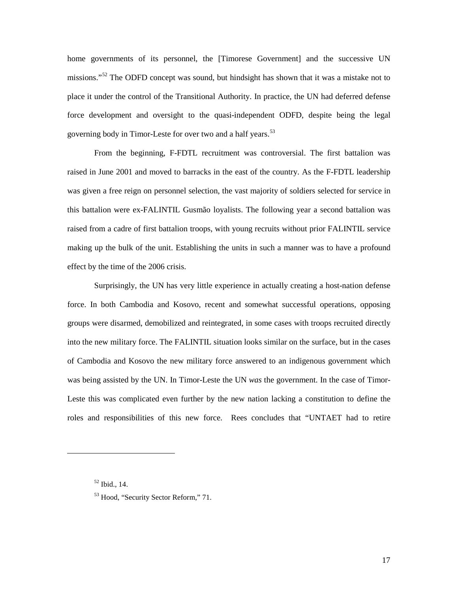home governments of its personnel, the [Timorese Government] and the successive UN missions."<sup>[52](#page-22-0)</sup> The ODFD concept was sound, but hindsight has shown that it was a mistake not to place it under the control of the Transitional Authority. In practice, the UN had deferred defense force development and oversight to the quasi-independent ODFD, despite being the legal governing body in Timor-Leste for over two and a half years.<sup>[53](#page-22-1)</sup>

From the beginning, F-FDTL recruitment was controversial. The first battalion was raised in June 2001 and moved to barracks in the east of the country. As the F-FDTL leadership was given a free reign on personnel selection, the vast majority of soldiers selected for service in this battalion were ex-FALINTIL Gusmão loyalists. The following year a second battalion was raised from a cadre of first battalion troops, with young recruits without prior FALINTIL service making up the bulk of the unit. Establishing the units in such a manner was to have a profound effect by the time of the 2006 crisis.

Surprisingly, the UN has very little experience in actually creating a host-nation defense force. In both Cambodia and Kosovo, recent and somewhat successful operations, opposing groups were disarmed, demobilized and reintegrated, in some cases with troops recruited directly into the new military force. The FALINTIL situation looks similar on the surface, but in the cases of Cambodia and Kosovo the new military force answered to an indigenous government which was being assisted by the UN. In Timor-Leste the UN *was* the government. In the case of Timor-Leste this was complicated even further by the new nation lacking a constitution to define the roles and responsibilities of this new force. Rees concludes that "UNTAET had to retire

<span id="page-22-0"></span><sup>52</sup> Ibid., 14.

<span id="page-22-1"></span><sup>&</sup>lt;sup>53</sup> Hood, "Security Sector Reform," 71.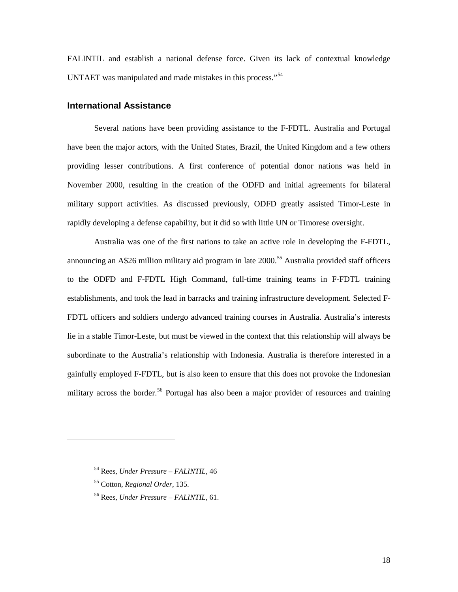FALINTIL and establish a national defense force. Given its lack of contextual knowledge UNTAET was manipulated and made mistakes in this process."<sup>[54](#page-23-1)</sup>

## <span id="page-23-0"></span>**International Assistance**

Several nations have been providing assistance to the F-FDTL. Australia and Portugal have been the major actors, with the United States, Brazil, the United Kingdom and a few others providing lesser contributions. A first conference of potential donor nations was held in November 2000, resulting in the creation of the ODFD and initial agreements for bilateral military support activities. As discussed previously, ODFD greatly assisted Timor-Leste in rapidly developing a defense capability, but it did so with little UN or Timorese oversight.

Australia was one of the first nations to take an active role in developing the F-FDTL, announcing an  $A\$ 26 million military aid program in late 2000.<sup>[55](#page-23-2)</sup> Australia provided staff officers to the ODFD and F-FDTL High Command, full-time training teams in F-FDTL training establishments, and took the lead in barracks and training infrastructure development. Selected F-FDTL officers and soldiers undergo advanced training courses in Australia. Australia's interests lie in a stable Timor-Leste, but must be viewed in the context that this relationship will always be subordinate to the Australia's relationship with Indonesia. Australia is therefore interested in a gainfully employed F-FDTL, but is also keen to ensure that this does not provoke the Indonesian military across the border.<sup>[56](#page-23-3)</sup> Portugal has also been a major provider of resources and training

<span id="page-23-1"></span><sup>54</sup> Rees, *Under Pressure – FALINTIL,* 46

<span id="page-23-2"></span><sup>55</sup> Cotton, *Regional Order*, 135.

<span id="page-23-3"></span><sup>56</sup> Rees, *Under Pressure – FALINTIL,* 61.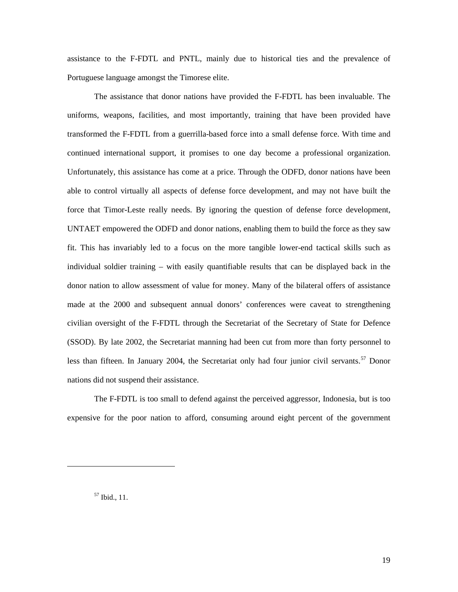assistance to the F-FDTL and PNTL, mainly due to historical ties and the prevalence of Portuguese language amongst the Timorese elite.

The assistance that donor nations have provided the F-FDTL has been invaluable. The uniforms, weapons, facilities, and most importantly, training that have been provided have transformed the F-FDTL from a guerrilla-based force into a small defense force. With time and continued international support, it promises to one day become a professional organization. Unfortunately, this assistance has come at a price. Through the ODFD, donor nations have been able to control virtually all aspects of defense force development, and may not have built the force that Timor-Leste really needs. By ignoring the question of defense force development, UNTAET empowered the ODFD and donor nations, enabling them to build the force as they saw fit. This has invariably led to a focus on the more tangible lower-end tactical skills such as individual soldier training – with easily quantifiable results that can be displayed back in the donor nation to allow assessment of value for money. Many of the bilateral offers of assistance made at the 2000 and subsequent annual donors' conferences were caveat to strengthening civilian oversight of the F-FDTL through the Secretariat of the Secretary of State for Defence (SSOD). By late 2002, the Secretariat manning had been cut from more than forty personnel to less than fifteen. In January 2004, the Secretariat only had four junior civil servants.<sup>[57](#page-24-0)</sup> Donor nations did not suspend their assistance.

The F-FDTL is too small to defend against the perceived aggressor, Indonesia, but is too expensive for the poor nation to afford, consuming around eight percent of the government

<span id="page-24-0"></span><sup>57</sup> Ibid., 11.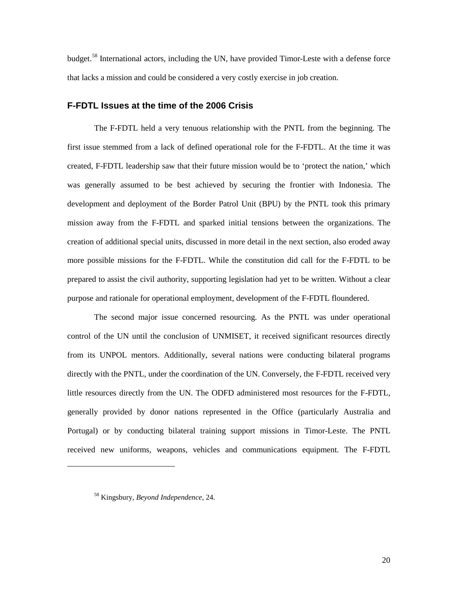budget.<sup>[58](#page-25-1)</sup> International actors, including the UN, have provided Timor-Leste with a defense force that lacks a mission and could be considered a very costly exercise in job creation.

#### <span id="page-25-0"></span>**F-FDTL Issues at the time of the 2006 Crisis**

The F-FDTL held a very tenuous relationship with the PNTL from the beginning. The first issue stemmed from a lack of defined operational role for the F-FDTL. At the time it was created, F-FDTL leadership saw that their future mission would be to 'protect the nation,' which was generally assumed to be best achieved by securing the frontier with Indonesia. The development and deployment of the Border Patrol Unit (BPU) by the PNTL took this primary mission away from the F-FDTL and sparked initial tensions between the organizations. The creation of additional special units, discussed in more detail in the next section, also eroded away more possible missions for the F-FDTL. While the constitution did call for the F-FDTL to be prepared to assist the civil authority, supporting legislation had yet to be written. Without a clear purpose and rationale for operational employment, development of the F-FDTL floundered.

The second major issue concerned resourcing. As the PNTL was under operational control of the UN until the conclusion of UNMISET, it received significant resources directly from its UNPOL mentors. Additionally, several nations were conducting bilateral programs directly with the PNTL, under the coordination of the UN. Conversely, the F-FDTL received very little resources directly from the UN. The ODFD administered most resources for the F-FDTL, generally provided by donor nations represented in the Office (particularly Australia and Portugal) or by conducting bilateral training support missions in Timor-Leste. The PNTL received new uniforms, weapons, vehicles and communications equipment. The F-FDTL

<span id="page-25-1"></span><sup>58</sup> Kingsbury, *Beyond Independence*, 24.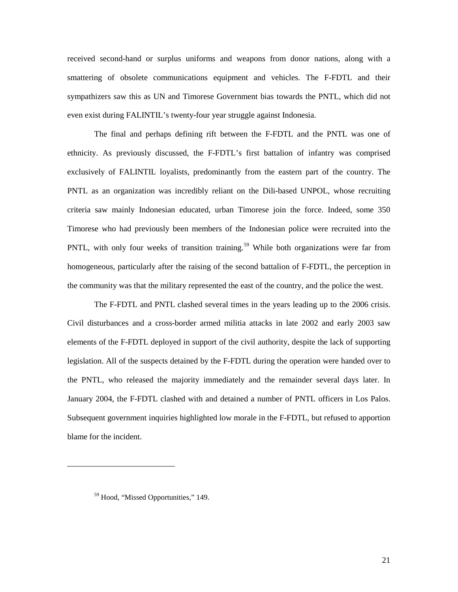received second-hand or surplus uniforms and weapons from donor nations, along with a smattering of obsolete communications equipment and vehicles. The F-FDTL and their sympathizers saw this as UN and Timorese Government bias towards the PNTL, which did not even exist during FALINTIL's twenty-four year struggle against Indonesia.

The final and perhaps defining rift between the F-FDTL and the PNTL was one of ethnicity. As previously discussed, the F-FDTL's first battalion of infantry was comprised exclusively of FALINTIL loyalists, predominantly from the eastern part of the country. The PNTL as an organization was incredibly reliant on the Dili-based UNPOL, whose recruiting criteria saw mainly Indonesian educated, urban Timorese join the force. Indeed, some 350 Timorese who had previously been members of the Indonesian police were recruited into the PNTL, with only four weeks of transition training.<sup>[59](#page-26-0)</sup> While both organizations were far from homogeneous, particularly after the raising of the second battalion of F-FDTL, the perception in the community was that the military represented the east of the country, and the police the west.

The F-FDTL and PNTL clashed several times in the years leading up to the 2006 crisis. Civil disturbances and a cross-border armed militia attacks in late 2002 and early 2003 saw elements of the F-FDTL deployed in support of the civil authority, despite the lack of supporting legislation. All of the suspects detained by the F-FDTL during the operation were handed over to the PNTL, who released the majority immediately and the remainder several days later. In January 2004, the F-FDTL clashed with and detained a number of PNTL officers in Los Palos. Subsequent government inquiries highlighted low morale in the F-FDTL, but refused to apportion blame for the incident.

<span id="page-26-0"></span><sup>&</sup>lt;sup>59</sup> Hood, "Missed Opportunities," 149.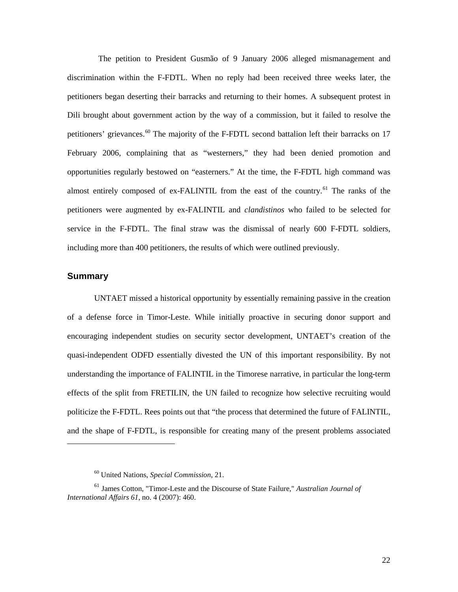The petition to President Gusmão of 9 January 2006 alleged mismanagement and discrimination within the F-FDTL. When no reply had been received three weeks later, the petitioners began deserting their barracks and returning to their homes. A subsequent protest in Dili brought about government action by the way of a commission, but it failed to resolve the petitioners' grievances.<sup>[60](#page-27-1)</sup> The majority of the F-FDTL second battalion left their barracks on 17 February 2006, complaining that as "westerners," they had been denied promotion and opportunities regularly bestowed on "easterners." At the time, the F-FDTL high command was almost entirely composed of ex-FALINTIL from the east of the country.<sup>[61](#page-27-2)</sup> The ranks of the petitioners were augmented by ex-FALINTIL and *clandistinos* who failed to be selected for service in the F-FDTL. The final straw was the dismissal of nearly 600 F-FDTL soldiers, including more than 400 petitioners, the results of which were outlined previously.

## <span id="page-27-0"></span>**Summary**

 $\overline{a}$ 

UNTAET missed a historical opportunity by essentially remaining passive in the creation of a defense force in Timor-Leste. While initially proactive in securing donor support and encouraging independent studies on security sector development, UNTAET's creation of the quasi-independent ODFD essentially divested the UN of this important responsibility. By not understanding the importance of FALINTIL in the Timorese narrative, in particular the long-term effects of the split from FRETILIN, the UN failed to recognize how selective recruiting would politicize the F-FDTL. Rees points out that "the process that determined the future of FALINTIL, and the shape of F-FDTL, is responsible for creating many of the present problems associated

<sup>60</sup> United Nations, *Special Commission*, 21.

<span id="page-27-2"></span><span id="page-27-1"></span><sup>61</sup> James Cotton, "Timor-Leste and the Discourse of State Failure," *Australian Journal of International Affairs 61*, no. 4 (2007): 460.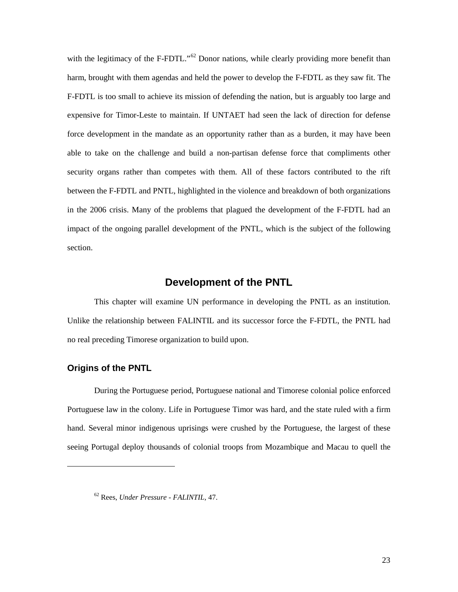with the legitimacy of the F-FDTL."<sup>[62](#page-28-2)</sup> Donor nations, while clearly providing more benefit than harm, brought with them agendas and held the power to develop the F-FDTL as they saw fit. The F-FDTL is too small to achieve its mission of defending the nation, but is arguably too large and expensive for Timor-Leste to maintain. If UNTAET had seen the lack of direction for defense force development in the mandate as an opportunity rather than as a burden, it may have been able to take on the challenge and build a non-partisan defense force that compliments other security organs rather than competes with them. All of these factors contributed to the rift between the F-FDTL and PNTL, highlighted in the violence and breakdown of both organizations in the 2006 crisis. Many of the problems that plagued the development of the F-FDTL had an impact of the ongoing parallel development of the PNTL, which is the subject of the following section.

## **Development of the PNTL**

<span id="page-28-0"></span>This chapter will examine UN performance in developing the PNTL as an institution. Unlike the relationship between FALINTIL and its successor force the F-FDTL, the PNTL had no real preceding Timorese organization to build upon.

## <span id="page-28-1"></span>**Origins of the PNTL**

<span id="page-28-2"></span> $\overline{a}$ 

During the Portuguese period, Portuguese national and Timorese colonial police enforced Portuguese law in the colony. Life in Portuguese Timor was hard, and the state ruled with a firm hand. Several minor indigenous uprisings were crushed by the Portuguese, the largest of these seeing Portugal deploy thousands of colonial troops from Mozambique and Macau to quell the

<sup>62</sup> Rees, *Under Pressure - FALINTIL,* 47.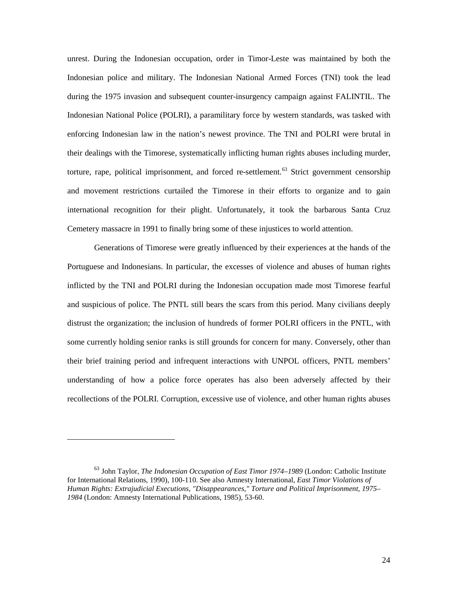unrest. During the Indonesian occupation, order in Timor-Leste was maintained by both the Indonesian police and military. The Indonesian National Armed Forces (TNI) took the lead during the 1975 invasion and subsequent counter-insurgency campaign against FALINTIL. The Indonesian National Police (POLRI), a paramilitary force by western standards, was tasked with enforcing Indonesian law in the nation's newest province. The TNI and POLRI were brutal in their dealings with the Timorese, systematically inflicting human rights abuses including murder, torture, rape, political imprisonment, and forced re-settlement.<sup>[63](#page-29-0)</sup> Strict government censorship and movement restrictions curtailed the Timorese in their efforts to organize and to gain international recognition for their plight. Unfortunately, it took the barbarous Santa Cruz Cemetery massacre in 1991 to finally bring some of these injustices to world attention.

Generations of Timorese were greatly influenced by their experiences at the hands of the Portuguese and Indonesians. In particular, the excesses of violence and abuses of human rights inflicted by the TNI and POLRI during the Indonesian occupation made most Timorese fearful and suspicious of police. The PNTL still bears the scars from this period. Many civilians deeply distrust the organization; the inclusion of hundreds of former POLRI officers in the PNTL, with some currently holding senior ranks is still grounds for concern for many. Conversely, other than their brief training period and infrequent interactions with UNPOL officers, PNTL members' understanding of how a police force operates has also been adversely affected by their recollections of the POLRI. Corruption, excessive use of violence, and other human rights abuses

<span id="page-29-0"></span><sup>63</sup> John Taylor, *The Indonesian Occupation of East Timor 1974–1989* (London: Catholic Institute for International Relations, 1990), 100-110. See also Amnesty International, *East Timor Violations of Human Rights: Extrajudicial Executions, "Disappearances," Torture and Political Imprisonment, 1975– 1984* (London: Amnesty International Publications, 1985), 53-60.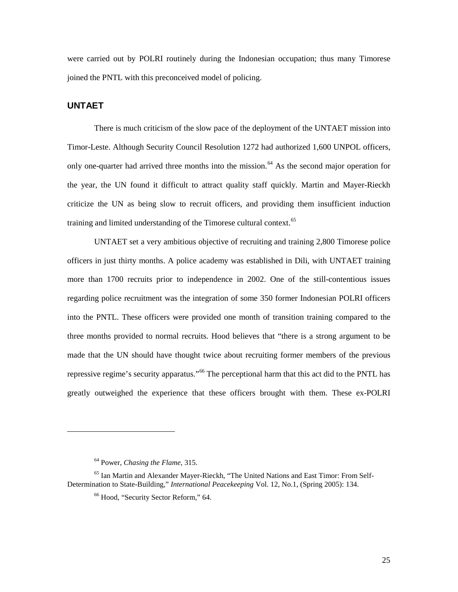were carried out by POLRI routinely during the Indonesian occupation; thus many Timorese joined the PNTL with this preconceived model of policing.

## <span id="page-30-0"></span>**UNTAET**

 $\overline{a}$ 

There is much criticism of the slow pace of the deployment of the UNTAET mission into Timor-Leste. Although Security Council Resolution 1272 had authorized 1,600 UNPOL officers, only one-quarter had arrived three months into the mission.<sup>[64](#page-30-1)</sup> As the second major operation for the year, the UN found it difficult to attract quality staff quickly. Martin and Mayer-Rieckh criticize the UN as being slow to recruit officers, and providing them insufficient induction training and limited understanding of the Timorese cultural context.<sup>[65](#page-30-2)</sup>

UNTAET set a very ambitious objective of recruiting and training 2,800 Timorese police officers in just thirty months. A police academy was established in Dili, with UNTAET training more than 1700 recruits prior to independence in 2002. One of the still-contentious issues regarding police recruitment was the integration of some 350 former Indonesian POLRI officers into the PNTL. These officers were provided one month of transition training compared to the three months provided to normal recruits. Hood believes that "there is a strong argument to be made that the UN should have thought twice about recruiting former members of the previous repressive regime's security apparatus."<sup>[66](#page-30-3)</sup> The perceptional harm that this act did to the PNTL has greatly outweighed the experience that these officers brought with them. These ex-POLRI

<sup>64</sup> Power, *Chasing the Flame*, 315.

<span id="page-30-3"></span><span id="page-30-2"></span><span id="page-30-1"></span><sup>65</sup> Ian Martin and Alexander Mayer-Rieckh, "The United Nations and East Timor: From Self-Determination to State-Building," *International Peacekeeping* Vol. 12, No.1, (Spring 2005): 134.

<sup>66</sup> Hood, "Security Sector Reform," 64.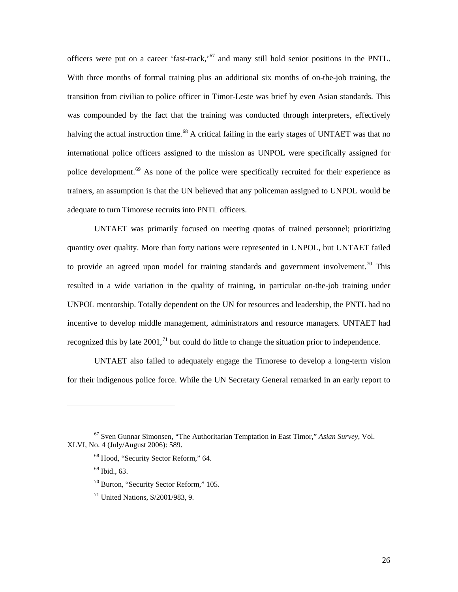officers were put on a career 'fast-track,'<sup>[67](#page-31-0)</sup> and many still hold senior positions in the PNTL. With three months of formal training plus an additional six months of on-the-job training, the transition from civilian to police officer in Timor-Leste was brief by even Asian standards. This was compounded by the fact that the training was conducted through interpreters, effectively halving the actual instruction time.<sup>[68](#page-31-1)</sup> A critical failing in the early stages of UNTAET was that no international police officers assigned to the mission as UNPOL were specifically assigned for police development.<sup>[69](#page-31-2)</sup> As none of the police were specifically recruited for their experience as trainers, an assumption is that the UN believed that any policeman assigned to UNPOL would be adequate to turn Timorese recruits into PNTL officers.

UNTAET was primarily focused on meeting quotas of trained personnel; prioritizing quantity over quality. More than forty nations were represented in UNPOL, but UNTAET failed to provide an agreed upon model for training standards and government involvement.<sup>[70](#page-31-3)</sup> This resulted in a wide variation in the quality of training, in particular on-the-job training under UNPOL mentorship. Totally dependent on the UN for resources and leadership, the PNTL had no incentive to develop middle management, administrators and resource managers. UNTAET had recognized this by late  $2001$ ,<sup> $71$ </sup> but could do little to change the situation prior to independence.

UNTAET also failed to adequately engage the Timorese to develop a long-term vision for their indigenous police force. While the UN Secretary General remarked in an early report to

- $70$  Burton, "Security Sector Reform," 105.
- $71$  United Nations, S/2001/983, 9.

<span id="page-31-4"></span><span id="page-31-3"></span><span id="page-31-2"></span><span id="page-31-1"></span><span id="page-31-0"></span><sup>67</sup> Sven Gunnar Simonsen, "The Authoritarian Temptation in East Timor," *Asian Survey*, Vol. XLVI, No. 4 (July/August 2006): 589.

<sup>68</sup> Hood, "Security Sector Reform," 64.

 $69$  Ibid., 63.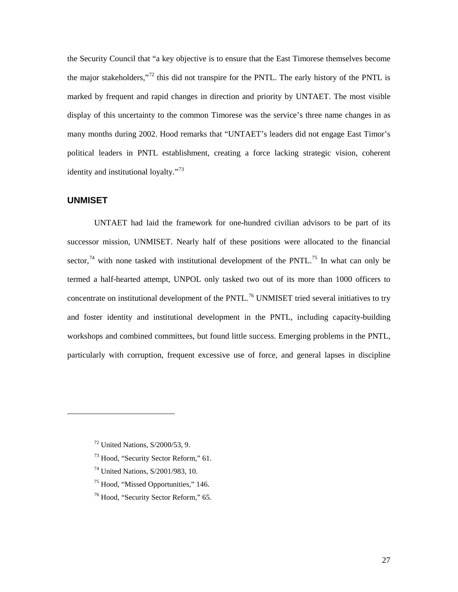the Security Council that "a key objective is to ensure that the East Timorese themselves become the major stakeholders,"<sup>[72](#page-32-1)</sup> this did not transpire for the PNTL. The early history of the PNTL is marked by frequent and rapid changes in direction and priority by UNTAET. The most visible display of this uncertainty to the common Timorese was the service's three name changes in as many months during 2002. Hood remarks that "UNTAET's leaders did not engage East Timor's political leaders in PNTL establishment, creating a force lacking strategic vision, coherent identity and institutional loyalty."<sup>[73](#page-32-2)</sup>

## <span id="page-32-0"></span>**UNMISET**

<span id="page-32-3"></span><span id="page-32-2"></span><span id="page-32-1"></span> $\overline{a}$ 

UNTAET had laid the framework for one-hundred civilian advisors to be part of its successor mission, UNMISET. Nearly half of these positions were allocated to the financial sector,<sup>[74](#page-32-3)</sup> with none tasked with institutional development of the PNTL.<sup>[75](#page-32-4)</sup> In what can only be termed a half-hearted attempt, UNPOL only tasked two out of its more than 1000 officers to concentrate on institutional development of the  $PNTL<sup>76</sup>$  $PNTL<sup>76</sup>$  $PNTL<sup>76</sup>$  UNMISET tried several initiatives to try and foster identity and institutional development in the PNTL, including capacity-building workshops and combined committees, but found little success. Emerging problems in the PNTL, particularly with corruption, frequent excessive use of force, and general lapses in discipline

- <sup>73</sup> Hood, "Security Sector Reform," 61.
- <sup>74</sup> United Nations, S/2001/983, 10.
- <span id="page-32-4"></span><sup>75</sup> Hood, "Missed Opportunities," 146.
- <span id="page-32-5"></span><sup>76</sup> Hood, "Security Sector Reform," 65.

<sup>72</sup> United Nations, S/2000/53, 9.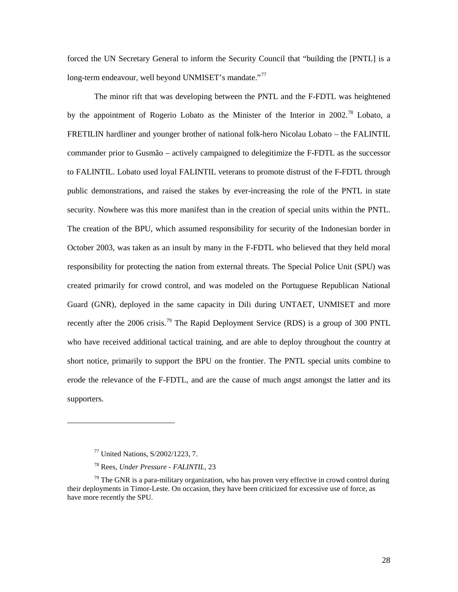forced the UN Secretary General to inform the Security Council that "building the [PNTL] is a long-term endeavour, well beyond UNMISET's mandate."<sup>[77](#page-33-0)</sup>

The minor rift that was developing between the PNTL and the F-FDTL was heightened by the appointment of Rogerio Lobato as the Minister of the Interior in 2002.<sup>[78](#page-33-1)</sup> Lobato. a FRETILIN hardliner and younger brother of national folk-hero Nicolau Lobato – the FALINTIL commander prior to Gusmão – actively campaigned to delegitimize the F-FDTL as the successor to FALINTIL. Lobato used loyal FALINTIL veterans to promote distrust of the F-FDTL through public demonstrations, and raised the stakes by ever-increasing the role of the PNTL in state security. Nowhere was this more manifest than in the creation of special units within the PNTL. The creation of the BPU, which assumed responsibility for security of the Indonesian border in October 2003, was taken as an insult by many in the F-FDTL who believed that they held moral responsibility for protecting the nation from external threats. The Special Police Unit (SPU) was created primarily for crowd control, and was modeled on the Portuguese Republican National Guard (GNR), deployed in the same capacity in Dili during UNTAET, UNMISET and more recently after the 2006 crisis.<sup>[79](#page-33-2)</sup> The Rapid Deployment Service (RDS) is a group of 300 PNTL who have received additional tactical training, and are able to deploy throughout the country at short notice, primarily to support the BPU on the frontier. The PNTL special units combine to erode the relevance of the F-FDTL, and are the cause of much angst amongst the latter and its supporters.

<sup>77</sup> United Nations, S/2002/1223, 7.

<sup>78</sup> Rees, *Under Pressure - FALINTIL,* 23

<span id="page-33-2"></span><span id="page-33-1"></span><span id="page-33-0"></span> $79$  The GNR is a para-military organization, who has proven very effective in crowd control during their deployments in Timor-Leste. On occasion, they have been criticized for excessive use of force, as have more recently the SPU.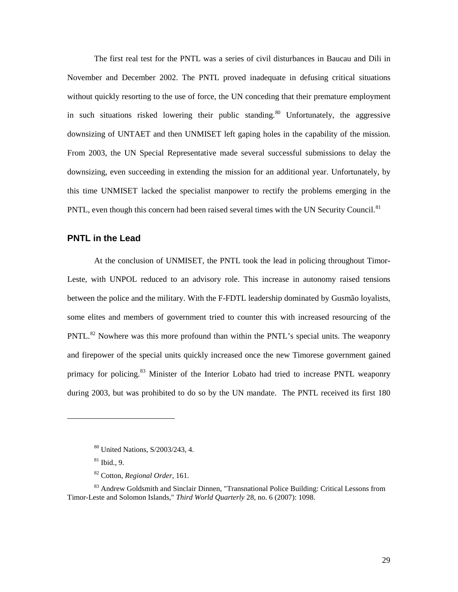The first real test for the PNTL was a series of civil disturbances in Baucau and Dili in November and December 2002. The PNTL proved inadequate in defusing critical situations without quickly resorting to the use of force, the UN conceding that their premature employment in such situations risked lowering their public standing.<sup>[80](#page-34-1)</sup> Unfortunately, the aggressive downsizing of UNTAET and then UNMISET left gaping holes in the capability of the mission. From 2003, the UN Special Representative made several successful submissions to delay the downsizing, even succeeding in extending the mission for an additional year. Unfortunately, by this time UNMISET lacked the specialist manpower to rectify the problems emerging in the PNTL, even though this concern had been raised several times with the UN Security Council.<sup>[81](#page-34-2)</sup>

#### <span id="page-34-0"></span>**PNTL in the Lead**

At the conclusion of UNMISET, the PNTL took the lead in policing throughout Timor-Leste, with UNPOL reduced to an advisory role. This increase in autonomy raised tensions between the police and the military. With the F-FDTL leadership dominated by Gusmão loyalists, some elites and members of government tried to counter this with increased resourcing of the PNTL.<sup>[82](#page-34-3)</sup> Nowhere was this more profound than within the PNTL's special units. The weaponry and firepower of the special units quickly increased once the new Timorese government gained primacy for policing.<sup>[83](#page-34-4)</sup> Minister of the Interior Lobato had tried to increase PNTL weaponry during 2003, but was prohibited to do so by the UN mandate. The PNTL received its first 180

<sup>80</sup> United Nations, S/2003/243, 4.

 $81$  Ibid., 9.

<sup>82</sup> Cotton, *Regional Order*, 161.

<span id="page-34-4"></span><span id="page-34-3"></span><span id="page-34-2"></span><span id="page-34-1"></span><sup>&</sup>lt;sup>83</sup> Andrew Goldsmith and Sinclair Dinnen, "Transnational Police Building: Critical Lessons from Timor-Leste and Solomon Islands," *Third World Quarterly* 28, no. 6 (2007): 1098.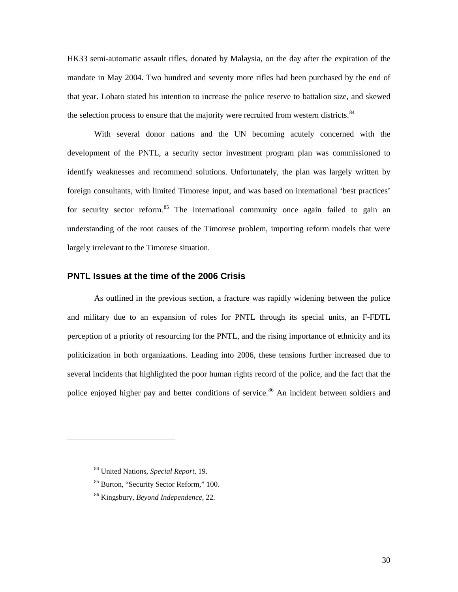HK33 semi-automatic assault rifles, donated by Malaysia, on the day after the expiration of the mandate in May 2004. Two hundred and seventy more rifles had been purchased by the end of that year. Lobato stated his intention to increase the police reserve to battalion size, and skewed the selection process to ensure that the majority were recruited from western districts.<sup>[84](#page-35-1)</sup>

With several donor nations and the UN becoming acutely concerned with the development of the PNTL, a security sector investment program plan was commissioned to identify weaknesses and recommend solutions. Unfortunately, the plan was largely written by foreign consultants, with limited Timorese input, and was based on international 'best practices' for security sector reform.<sup>[85](#page-35-2)</sup> The international community once again failed to gain an understanding of the root causes of the Timorese problem, importing reform models that were largely irrelevant to the Timorese situation.

## <span id="page-35-0"></span>**PNTL Issues at the time of the 2006 Crisis**

As outlined in the previous section, a fracture was rapidly widening between the police and military due to an expansion of roles for PNTL through its special units, an F-FDTL perception of a priority of resourcing for the PNTL, and the rising importance of ethnicity and its politicization in both organizations. Leading into 2006, these tensions further increased due to several incidents that highlighted the poor human rights record of the police, and the fact that the police enjoyed higher pay and better conditions of service.<sup>[86](#page-35-3)</sup> An incident between soldiers and

<span id="page-35-1"></span><sup>84</sup> United Nations, *Special Report*, 19.

<span id="page-35-2"></span><sup>85</sup> Burton, "Security Sector Reform," 100.

<span id="page-35-3"></span><sup>86</sup> Kingsbury, *Beyond Independence,* 22.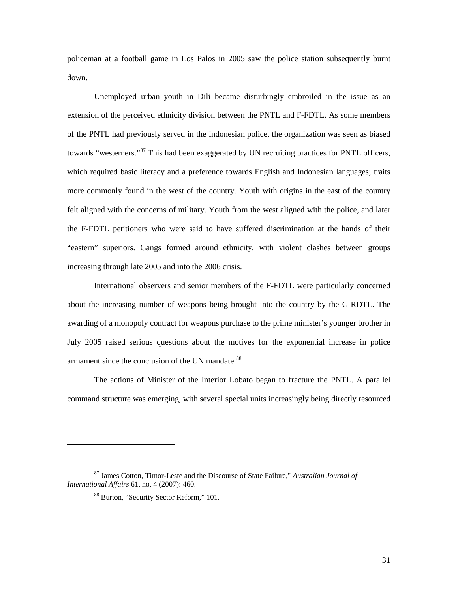policeman at a football game in Los Palos in 2005 saw the police station subsequently burnt down.

Unemployed urban youth in Dili became disturbingly embroiled in the issue as an extension of the perceived ethnicity division between the PNTL and F-FDTL. As some members of the PNTL had previously served in the Indonesian police, the organization was seen as biased towards "westerners."<sup>[87](#page-36-0)</sup> This had been exaggerated by UN recruiting practices for PNTL officers, which required basic literacy and a preference towards English and Indonesian languages; traits more commonly found in the west of the country. Youth with origins in the east of the country felt aligned with the concerns of military. Youth from the west aligned with the police, and later the F-FDTL petitioners who were said to have suffered discrimination at the hands of their "eastern" superiors. Gangs formed around ethnicity, with violent clashes between groups increasing through late 2005 and into the 2006 crisis.

International observers and senior members of the F-FDTL were particularly concerned about the increasing number of weapons being brought into the country by the G-RDTL. The awarding of a monopoly contract for weapons purchase to the prime minister's younger brother in July 2005 raised serious questions about the motives for the exponential increase in police armament since the conclusion of the UN mandate.<sup>[88](#page-36-1)</sup>

The actions of Minister of the Interior Lobato began to fracture the PNTL. A parallel command structure was emerging, with several special units increasingly being directly resourced

<span id="page-36-1"></span><span id="page-36-0"></span><sup>87</sup> James Cotton, Timor-Leste and the Discourse of State Failure," *Australian Journal of International Affairs* 61, no. 4 (2007): 460.

<sup>88</sup> Burton, "Security Sector Reform," 101.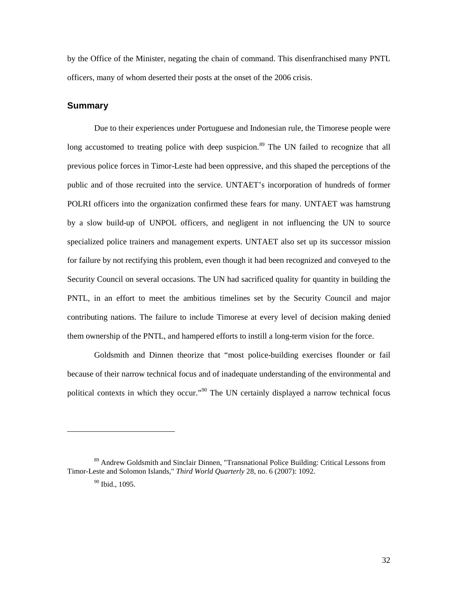by the Office of the Minister, negating the chain of command. This disenfranchised many PNTL officers, many of whom deserted their posts at the onset of the 2006 crisis.

#### <span id="page-37-0"></span>**Summary**

Due to their experiences under Portuguese and Indonesian rule, the Timorese people were long accustomed to treating police with deep suspicion.<sup>[89](#page-37-1)</sup> The UN failed to recognize that all previous police forces in Timor-Leste had been oppressive, and this shaped the perceptions of the public and of those recruited into the service. UNTAET's incorporation of hundreds of former POLRI officers into the organization confirmed these fears for many. UNTAET was hamstrung by a slow build-up of UNPOL officers, and negligent in not influencing the UN to source specialized police trainers and management experts. UNTAET also set up its successor mission for failure by not rectifying this problem, even though it had been recognized and conveyed to the Security Council on several occasions. The UN had sacrificed quality for quantity in building the PNTL, in an effort to meet the ambitious timelines set by the Security Council and major contributing nations. The failure to include Timorese at every level of decision making denied them ownership of the PNTL, and hampered efforts to instill a long-term vision for the force.

Goldsmith and Dinnen theorize that "most police-building exercises flounder or fail because of their narrow technical focus and of inadequate understanding of the environmental and political contexts in which they occur."<sup>[90](#page-37-2)</sup> The UN certainly displayed a narrow technical focus

<span id="page-37-2"></span><span id="page-37-1"></span><sup>89</sup> Andrew Goldsmith and Sinclair Dinnen, "Transnational Police Building: Critical Lessons from Timor-Leste and Solomon Islands," *Third World Quarterly* 28, no. 6 (2007): 1092.

 $90$  Ibid., 1095.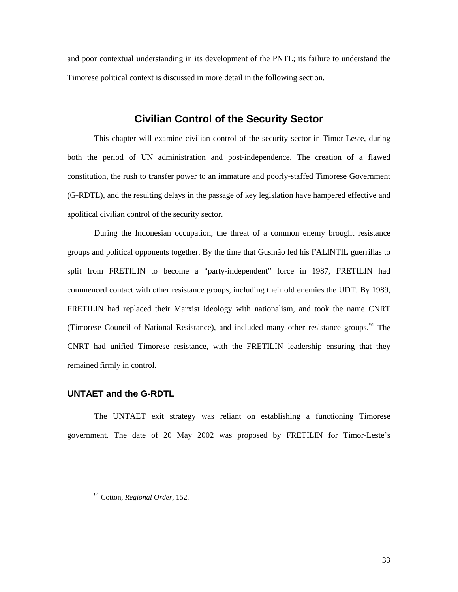and poor contextual understanding in its development of the PNTL; its failure to understand the Timorese political context is discussed in more detail in the following section.

## **Civilian Control of the Security Sector**

<span id="page-38-0"></span>This chapter will examine civilian control of the security sector in Timor-Leste, during both the period of UN administration and post-independence. The creation of a flawed constitution, the rush to transfer power to an immature and poorly-staffed Timorese Government (G-RDTL), and the resulting delays in the passage of key legislation have hampered effective and apolitical civilian control of the security sector.

During the Indonesian occupation, the threat of a common enemy brought resistance groups and political opponents together. By the time that Gusmão led his FALINTIL guerrillas to split from FRETILIN to become a "party-independent" force in 1987, FRETILIN had commenced contact with other resistance groups, including their old enemies the UDT. By 1989, FRETILIN had replaced their Marxist ideology with nationalism, and took the name CNRT (Timorese Council of National Resistance), and included many other resistance groups.<sup>[91](#page-38-2)</sup> The CNRT had unified Timorese resistance, with the FRETILIN leadership ensuring that they remained firmly in control.

#### <span id="page-38-1"></span>**UNTAET and the G-RDTL**

<span id="page-38-2"></span> $\overline{a}$ 

The UNTAET exit strategy was reliant on establishing a functioning Timorese government. The date of 20 May 2002 was proposed by FRETILIN for Timor-Leste's

<sup>91</sup> Cotton, *Regional Order*, 152.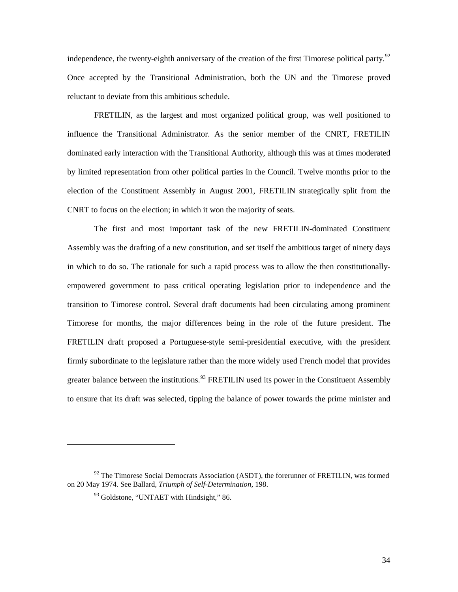independence, the twenty-eighth anniversary of the creation of the first Timorese political party.<sup>[92](#page-39-0)</sup> Once accepted by the Transitional Administration, both the UN and the Timorese proved reluctant to deviate from this ambitious schedule.

FRETILIN, as the largest and most organized political group, was well positioned to influence the Transitional Administrator. As the senior member of the CNRT, FRETILIN dominated early interaction with the Transitional Authority, although this was at times moderated by limited representation from other political parties in the Council. Twelve months prior to the election of the Constituent Assembly in August 2001, FRETILIN strategically split from the CNRT to focus on the election; in which it won the majority of seats.

The first and most important task of the new FRETILIN-dominated Constituent Assembly was the drafting of a new constitution, and set itself the ambitious target of ninety days in which to do so. The rationale for such a rapid process was to allow the then constitutionallyempowered government to pass critical operating legislation prior to independence and the transition to Timorese control. Several draft documents had been circulating among prominent Timorese for months, the major differences being in the role of the future president. The FRETILIN draft proposed a Portuguese-style semi-presidential executive, with the president firmly subordinate to the legislature rather than the more widely used French model that provides greater balance between the institutions.<sup>[93](#page-39-1)</sup> FRETILIN used its power in the Constituent Assembly to ensure that its draft was selected, tipping the balance of power towards the prime minister and

<span id="page-39-1"></span><span id="page-39-0"></span> $92$  The Timorese Social Democrats Association (ASDT), the forerunner of FRETILIN, was formed on 20 May 1974. See Ballard, *Triumph of Self-Determination,* 198.

<sup>&</sup>lt;sup>93</sup> Goldstone, "UNTAET with Hindsight," 86.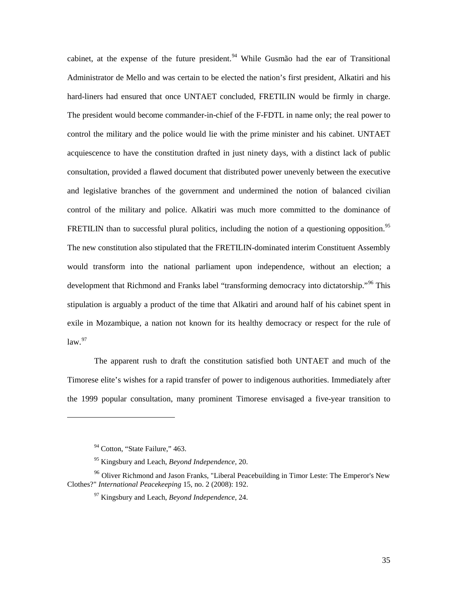cabinet, at the expense of the future president.<sup>[94](#page-40-0)</sup> While Gusmão had the ear of Transitional Administrator de Mello and was certain to be elected the nation's first president, Alkatiri and his hard-liners had ensured that once UNTAET concluded, FRETILIN would be firmly in charge. The president would become commander-in-chief of the F-FDTL in name only; the real power to control the military and the police would lie with the prime minister and his cabinet. UNTAET acquiescence to have the constitution drafted in just ninety days, with a distinct lack of public consultation, provided a flawed document that distributed power unevenly between the executive and legislative branches of the government and undermined the notion of balanced civilian control of the military and police. Alkatiri was much more committed to the dominance of FRETILIN than to successful plural politics, including the notion of a questioning opposition.<sup>[95](#page-40-1)</sup> The new constitution also stipulated that the FRETILIN-dominated interim Constituent Assembly would transform into the national parliament upon independence, without an election; a development that Richmond and Franks label "transforming democracy into dictatorship."<sup>[96](#page-40-2)</sup> This stipulation is arguably a product of the time that Alkatiri and around half of his cabinet spent in exile in Mozambique, a nation not known for its healthy democracy or respect for the rule of  $law.<sup>97</sup>$  $law.<sup>97</sup>$  $law.<sup>97</sup>$ 

The apparent rush to draft the constitution satisfied both UNTAET and much of the Timorese elite's wishes for a rapid transfer of power to indigenous authorities. Immediately after the 1999 popular consultation, many prominent Timorese envisaged a five-year transition to

<sup>&</sup>lt;sup>94</sup> Cotton, "State Failure," 463.

<sup>95</sup> Kingsbury and Leach, *Beyond Independence,* 20.

<span id="page-40-3"></span><span id="page-40-2"></span><span id="page-40-1"></span><span id="page-40-0"></span><sup>&</sup>lt;sup>96</sup> Oliver Richmond and Jason Franks, "Liberal Peacebuilding in Timor Leste: The Emperor's New Clothes?" *International Peacekeeping* 15, no. 2 (2008): 192.

<sup>97</sup> Kingsbury and Leach, *Beyond Independence*, 24.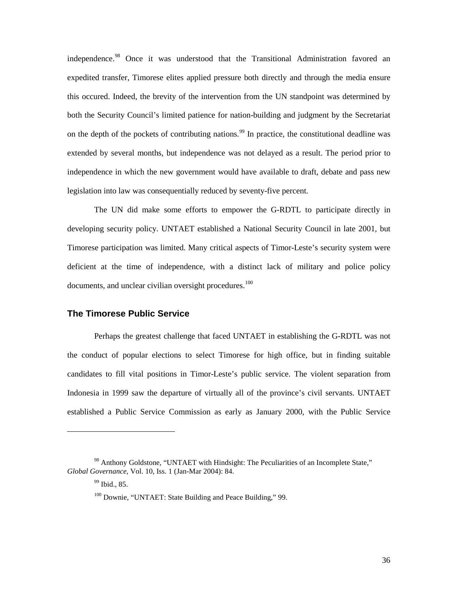independence.<sup>[98](#page-41-1)</sup> Once it was understood that the Transitional Administration favored an expedited transfer, Timorese elites applied pressure both directly and through the media ensure this occured. Indeed, the brevity of the intervention from the UN standpoint was determined by both the Security Council's limited patience for nation-building and judgment by the Secretariat on the depth of the pockets of contributing nations.<sup>[99](#page-41-2)</sup> In practice, the constitutional deadline was extended by several months, but independence was not delayed as a result. The period prior to independence in which the new government would have available to draft, debate and pass new legislation into law was consequentially reduced by seventy-five percent.

The UN did make some efforts to empower the G-RDTL to participate directly in developing security policy. UNTAET established a National Security Council in late 2001, but Timorese participation was limited. Many critical aspects of Timor-Leste's security system were deficient at the time of independence, with a distinct lack of military and police policy documents, and unclear civilian oversight procedures.<sup>[100](#page-41-3)</sup>

#### <span id="page-41-0"></span>**The Timorese Public Service**

Perhaps the greatest challenge that faced UNTAET in establishing the G-RDTL was not the conduct of popular elections to select Timorese for high office, but in finding suitable candidates to fill vital positions in Timor-Leste's public service. The violent separation from Indonesia in 1999 saw the departure of virtually all of the province's civil servants. UNTAET established a Public Service Commission as early as January 2000, with the Public Service

<span id="page-41-3"></span><span id="page-41-2"></span><span id="page-41-1"></span><sup>98</sup> Anthony Goldstone, "UNTAET with Hindsight: The Peculiarities of an Incomplete State," *Global Governance,* Vol. 10, Iss. 1 (Jan-Mar 2004): 84.

 $99$  Ibid., 85.

<sup>&</sup>lt;sup>100</sup> Downie, "UNTAET: State Building and Peace Building," 99.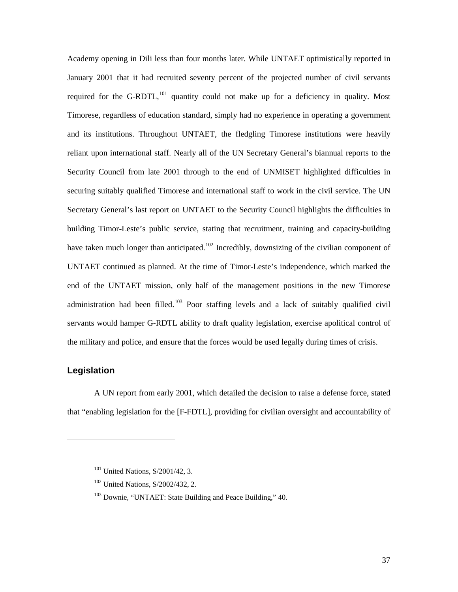Academy opening in Dili less than four months later. While UNTAET optimistically reported in January 2001 that it had recruited seventy percent of the projected number of civil servants required for the G-RDTL,  $^{101}$  $^{101}$  $^{101}$  quantity could not make up for a deficiency in quality. Most Timorese, regardless of education standard, simply had no experience in operating a government and its institutions. Throughout UNTAET, the fledgling Timorese institutions were heavily reliant upon international staff. Nearly all of the UN Secretary General's biannual reports to the Security Council from late 2001 through to the end of UNMISET highlighted difficulties in securing suitably qualified Timorese and international staff to work in the civil service. The UN Secretary General's last report on UNTAET to the Security Council highlights the difficulties in building Timor-Leste's public service, stating that recruitment, training and capacity-building have taken much longer than anticipated.<sup>[102](#page-42-2)</sup> Incredibly, downsizing of the civilian component of UNTAET continued as planned. At the time of Timor-Leste's independence, which marked the end of the UNTAET mission, only half of the management positions in the new Timorese administration had been filled.<sup>[103](#page-42-3)</sup> Poor staffing levels and a lack of suitably qualified civil servants would hamper G-RDTL ability to draft quality legislation, exercise apolitical control of the military and police, and ensure that the forces would be used legally during times of crisis.

## <span id="page-42-0"></span>**Legislation**

<span id="page-42-3"></span><span id="page-42-2"></span><span id="page-42-1"></span> $\overline{a}$ 

A UN report from early 2001, which detailed the decision to raise a defense force, stated that "enabling legislation for the [F-FDTL], providing for civilian oversight and accountability of

<sup>&</sup>lt;sup>101</sup> United Nations, S/2001/42, 3.

<sup>&</sup>lt;sup>102</sup> United Nations, S/2002/432, 2.

<sup>&</sup>lt;sup>103</sup> Downie, "UNTAET: State Building and Peace Building," 40.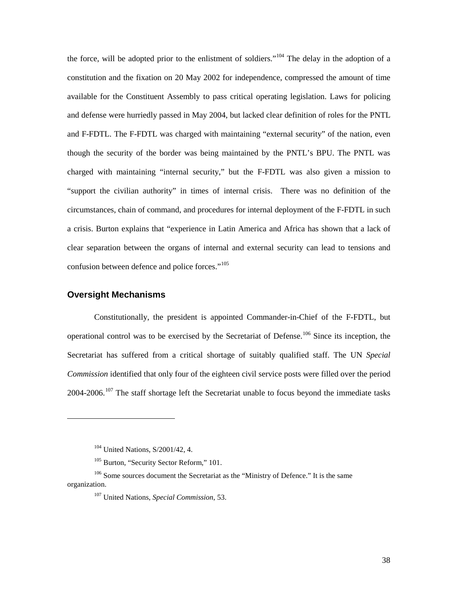the force, will be adopted prior to the enlistment of soldiers."<sup>[104](#page-43-1)</sup> The delay in the adoption of a constitution and the fixation on 20 May 2002 for independence, compressed the amount of time available for the Constituent Assembly to pass critical operating legislation. Laws for policing and defense were hurriedly passed in May 2004, but lacked clear definition of roles for the PNTL and F-FDTL. The F-FDTL was charged with maintaining "external security" of the nation, even though the security of the border was being maintained by the PNTL's BPU. The PNTL was charged with maintaining "internal security," but the F-FDTL was also given a mission to "support the civilian authority" in times of internal crisis. There was no definition of the circumstances, chain of command, and procedures for internal deployment of the F-FDTL in such a crisis. Burton explains that "experience in Latin America and Africa has shown that a lack of clear separation between the organs of internal and external security can lead to tensions and confusion between defence and police forces."<sup>[105](#page-43-2)</sup>

#### <span id="page-43-0"></span>**Oversight Mechanisms**

 $\overline{a}$ 

Constitutionally, the president is appointed Commander-in-Chief of the F-FDTL, but operational control was to be exercised by the Secretariat of Defense.<sup>[106](#page-43-3)</sup> Since its inception, the Secretariat has suffered from a critical shortage of suitably qualified staff. The UN *Special Commission* identified that only four of the eighteen civil service posts were filled over the period  $2004-2006$ .<sup>[107](#page-43-4)</sup> The staff shortage left the Secretariat unable to focus beyond the immediate tasks

<sup>&</sup>lt;sup>104</sup> United Nations, S/2001/42, 4.

<sup>&</sup>lt;sup>105</sup> Burton, "Security Sector Reform," 101.

<span id="page-43-4"></span><span id="page-43-3"></span><span id="page-43-2"></span><span id="page-43-1"></span><sup>&</sup>lt;sup>106</sup> Some sources document the Secretariat as the "Ministry of Defence." It is the same organization.

<sup>107</sup> United Nations, *Special Commission*, 53.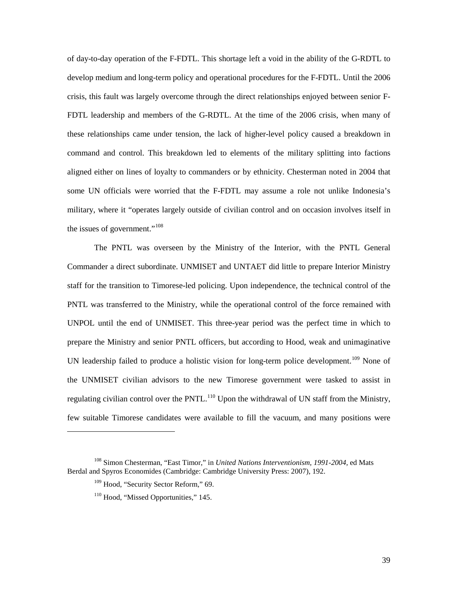of day-to-day operation of the F-FDTL. This shortage left a void in the ability of the G-RDTL to develop medium and long-term policy and operational procedures for the F-FDTL. Until the 2006 crisis, this fault was largely overcome through the direct relationships enjoyed between senior F-FDTL leadership and members of the G-RDTL. At the time of the 2006 crisis, when many of these relationships came under tension, the lack of higher-level policy caused a breakdown in command and control. This breakdown led to elements of the military splitting into factions aligned either on lines of loyalty to commanders or by ethnicity. Chesterman noted in 2004 that some UN officials were worried that the F-FDTL may assume a role not unlike Indonesia's military, where it "operates largely outside of civilian control and on occasion involves itself in the issues of government."[108](#page-44-0)

The PNTL was overseen by the Ministry of the Interior, with the PNTL General Commander a direct subordinate. UNMISET and UNTAET did little to prepare Interior Ministry staff for the transition to Timorese-led policing. Upon independence, the technical control of the PNTL was transferred to the Ministry, while the operational control of the force remained with UNPOL until the end of UNMISET. This three-year period was the perfect time in which to prepare the Ministry and senior PNTL officers, but according to Hood, weak and unimaginative UN leadership failed to produce a holistic vision for long-term police development.<sup>[109](#page-44-1)</sup> None of the UNMISET civilian advisors to the new Timorese government were tasked to assist in regulating civilian control over the PNTL.<sup>[110](#page-44-2)</sup> Upon the withdrawal of UN staff from the Ministry, few suitable Timorese candidates were available to fill the vacuum, and many positions were

<span id="page-44-2"></span><span id="page-44-1"></span><span id="page-44-0"></span><sup>108</sup> Simon Chesterman, "East Timor," in *United Nations Interventionism, 1991-2004,* ed Mats Berdal and Spyros Economides (Cambridge: Cambridge University Press: 2007), 192.

<sup>&</sup>lt;sup>109</sup> Hood, "Security Sector Reform," 69.

<sup>&</sup>lt;sup>110</sup> Hood, "Missed Opportunities," 145.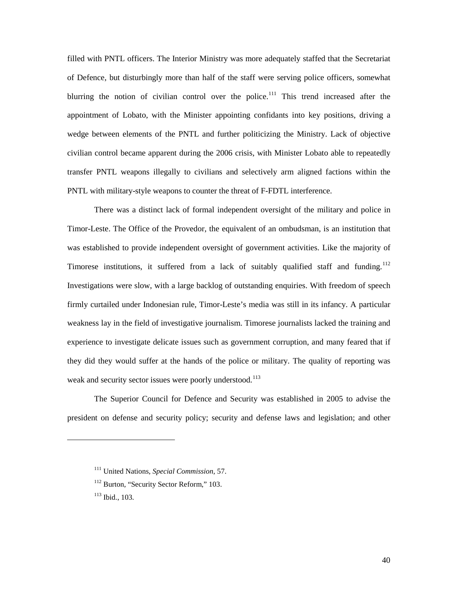filled with PNTL officers. The Interior Ministry was more adequately staffed that the Secretariat of Defence, but disturbingly more than half of the staff were serving police officers, somewhat blurring the notion of civilian control over the police.<sup>[111](#page-45-0)</sup> This trend increased after the appointment of Lobato, with the Minister appointing confidants into key positions, driving a wedge between elements of the PNTL and further politicizing the Ministry. Lack of objective civilian control became apparent during the 2006 crisis, with Minister Lobato able to repeatedly transfer PNTL weapons illegally to civilians and selectively arm aligned factions within the PNTL with military-style weapons to counter the threat of F-FDTL interference.

There was a distinct lack of formal independent oversight of the military and police in Timor-Leste. The Office of the Provedor, the equivalent of an ombudsman, is an institution that was established to provide independent oversight of government activities. Like the majority of Timorese institutions, it suffered from a lack of suitably qualified staff and funding.<sup>[112](#page-45-1)</sup> Investigations were slow, with a large backlog of outstanding enquiries. With freedom of speech firmly curtailed under Indonesian rule, Timor-Leste's media was still in its infancy. A particular weakness lay in the field of investigative journalism. Timorese journalists lacked the training and experience to investigate delicate issues such as government corruption, and many feared that if they did they would suffer at the hands of the police or military. The quality of reporting was weak and security sector issues were poorly understood.<sup>[113](#page-45-2)</sup>

The Superior Council for Defence and Security was established in 2005 to advise the president on defense and security policy; security and defense laws and legislation; and other

<span id="page-45-0"></span><sup>111</sup> United Nations, *Special Commission*, 57.

<span id="page-45-1"></span><sup>&</sup>lt;sup>112</sup> Burton, "Security Sector Reform," 103.

<span id="page-45-2"></span><sup>113</sup> Ibid., 103.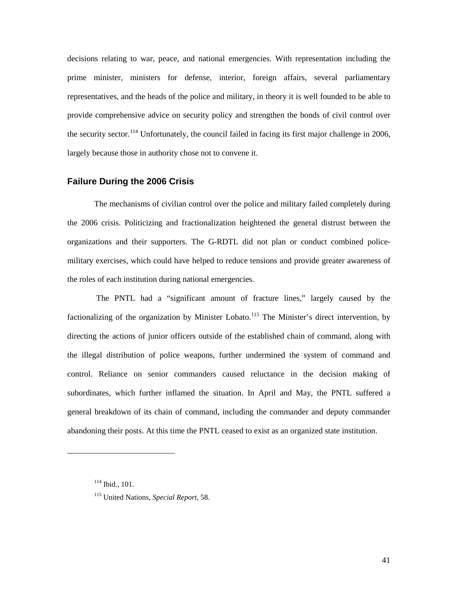decisions relating to war, peace, and national emergencies. With representation including the prime minister, ministers for defense, interior, foreign affairs, several parliamentary representatives, and the heads of the police and military, in theory it is well founded to be able to provide comprehensive advice on security policy and strengthen the bonds of civil control over the security sector.<sup>[114](#page-46-1)</sup> Unfortunately, the council failed in facing its first major challenge in 2006, largely because those in authority chose not to convene it.

## <span id="page-46-0"></span>**Failure During the 2006 Crisis**

The mechanisms of civilian control over the police and military failed completely during the 2006 crisis. Politicizing and fractionalization heightened the general distrust between the organizations and their supporters. The G-RDTL did not plan or conduct combined policemilitary exercises, which could have helped to reduce tensions and provide greater awareness of the roles of each institution during national emergencies.

The PNTL had a "significant amount of fracture lines," largely caused by the factionalizing of the organization by Minister Lobato.<sup>[115](#page-46-2)</sup> The Minister's direct intervention, by directing the actions of junior officers outside of the established chain of command, along with the illegal distribution of police weapons, further undermined the system of command and control. Reliance on senior commanders caused reluctance in the decision making of subordinates, which further inflamed the situation. In April and May, the PNTL suffered a general breakdown of its chain of command, including the commander and deputy commander abandoning their posts. At this time the PNTL ceased to exist as an organized state institution.

<span id="page-46-1"></span><sup>114</sup> Ibid., 101.

<span id="page-46-2"></span><sup>115</sup> United Nations, *Special Report*, 58.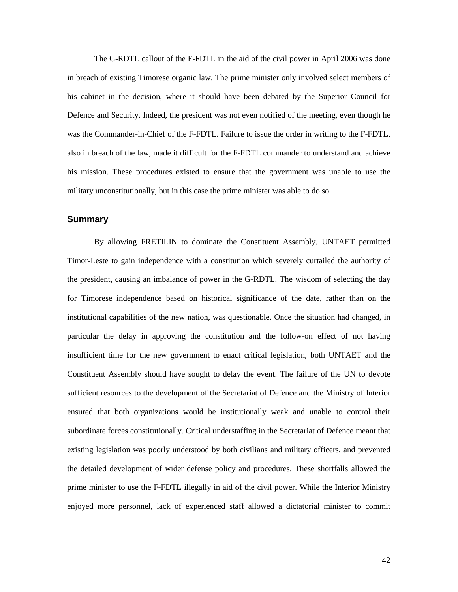The G-RDTL callout of the F-FDTL in the aid of the civil power in April 2006 was done in breach of existing Timorese organic law. The prime minister only involved select members of his cabinet in the decision, where it should have been debated by the Superior Council for Defence and Security. Indeed, the president was not even notified of the meeting, even though he was the Commander-in-Chief of the F-FDTL. Failure to issue the order in writing to the F-FDTL, also in breach of the law, made it difficult for the F-FDTL commander to understand and achieve his mission. These procedures existed to ensure that the government was unable to use the military unconstitutionally, but in this case the prime minister was able to do so.

## <span id="page-47-0"></span>**Summary**

By allowing FRETILIN to dominate the Constituent Assembly, UNTAET permitted Timor-Leste to gain independence with a constitution which severely curtailed the authority of the president, causing an imbalance of power in the G-RDTL. The wisdom of selecting the day for Timorese independence based on historical significance of the date, rather than on the institutional capabilities of the new nation, was questionable. Once the situation had changed, in particular the delay in approving the constitution and the follow-on effect of not having insufficient time for the new government to enact critical legislation, both UNTAET and the Constituent Assembly should have sought to delay the event. The failure of the UN to devote sufficient resources to the development of the Secretariat of Defence and the Ministry of Interior ensured that both organizations would be institutionally weak and unable to control their subordinate forces constitutionally. Critical understaffing in the Secretariat of Defence meant that existing legislation was poorly understood by both civilians and military officers, and prevented the detailed development of wider defense policy and procedures. These shortfalls allowed the prime minister to use the F-FDTL illegally in aid of the civil power. While the Interior Ministry enjoyed more personnel, lack of experienced staff allowed a dictatorial minister to commit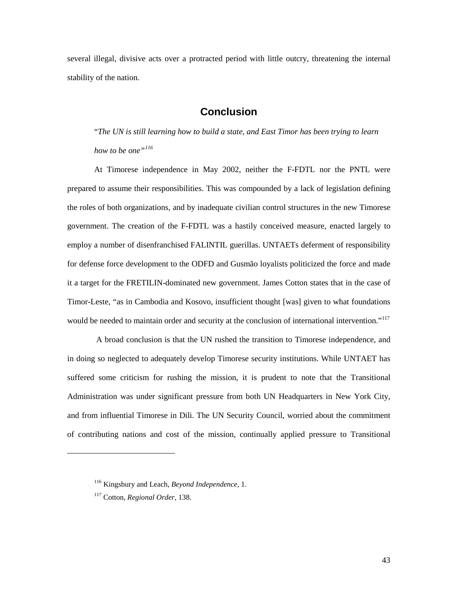several illegal, divisive acts over a protracted period with little outcry, threatening the internal stability of the nation.

## **Conclusion**

<span id="page-48-0"></span>"*The UN is still learning how to build a state, and East Timor has been trying to learn how to be one"[116](#page-48-1)*

At Timorese independence in May 2002, neither the F-FDTL nor the PNTL were prepared to assume their responsibilities. This was compounded by a lack of legislation defining the roles of both organizations, and by inadequate civilian control structures in the new Timorese government. The creation of the F-FDTL was a hastily conceived measure, enacted largely to employ a number of disenfranchised FALINTIL guerillas. UNTAETs deferment of responsibility for defense force development to the ODFD and Gusmão loyalists politicized the force and made it a target for the FRETILIN-dominated new government. James Cotton states that in the case of Timor-Leste, "as in Cambodia and Kosovo, insufficient thought [was] given to what foundations would be needed to maintain order and security at the conclusion of international intervention."<sup>[117](#page-48-2)</sup>

A broad conclusion is that the UN rushed the transition to Timorese independence, and in doing so neglected to adequately develop Timorese security institutions. While UNTAET has suffered some criticism for rushing the mission, it is prudent to note that the Transitional Administration was under significant pressure from both UN Headquarters in New York City, and from influential Timorese in Dili. The UN Security Council, worried about the commitment of contributing nations and cost of the mission, continually applied pressure to Transitional

<span id="page-48-1"></span><sup>116</sup> Kingsbury and Leach, *Beyond Independence,* 1.

<span id="page-48-2"></span><sup>117</sup> Cotton, *Regional Order*, 138.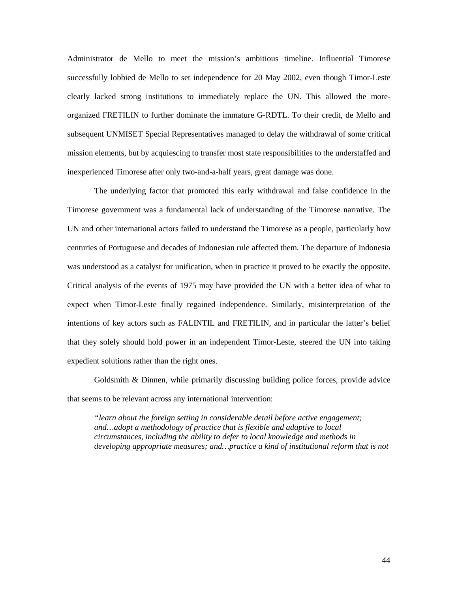Administrator de Mello to meet the mission's ambitious timeline. Influential Timorese successfully lobbied de Mello to set independence for 20 May 2002, even though Timor-Leste clearly lacked strong institutions to immediately replace the UN. This allowed the moreorganized FRETILIN to further dominate the immature G-RDTL. To their credit, de Mello and subsequent UNMISET Special Representatives managed to delay the withdrawal of some critical mission elements, but by acquiescing to transfer most state responsibilities to the understaffed and inexperienced Timorese after only two-and-a-half years, great damage was done.

The underlying factor that promoted this early withdrawal and false confidence in the Timorese government was a fundamental lack of understanding of the Timorese narrative. The UN and other international actors failed to understand the Timorese as a people, particularly how centuries of Portuguese and decades of Indonesian rule affected them. The departure of Indonesia was understood as a catalyst for unification, when in practice it proved to be exactly the opposite. Critical analysis of the events of 1975 may have provided the UN with a better idea of what to expect when Timor-Leste finally regained independence. Similarly, misinterpretation of the intentions of key actors such as FALINTIL and FRETILIN, and in particular the latter's belief that they solely should hold power in an independent Timor-Leste, steered the UN into taking expedient solutions rather than the right ones.

Goldsmith & Dinnen, while primarily discussing building police forces, provide advice that seems to be relevant across any international intervention:

*"learn about the foreign setting in considerable detail before active engagement; and…adopt a methodology of practice that is flexible and adaptive to local circumstances, including the ability to defer to local knowledge and methods in developing appropriate measures; and…practice a kind of institutional reform that is not*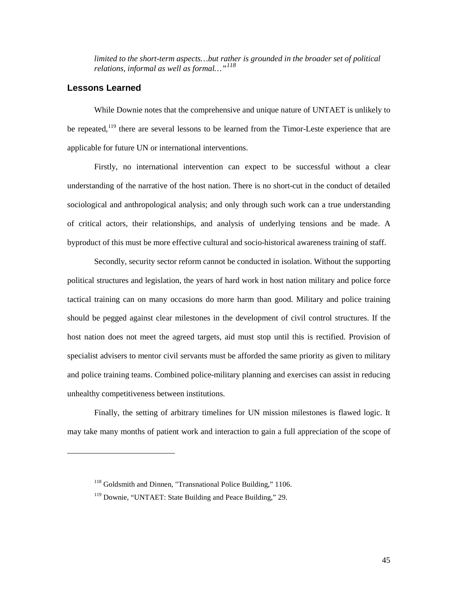*limited to the short-term aspects…but rather is grounded in the broader set of political relations, informal as well as formal…"[118](#page-50-1)*

## <span id="page-50-0"></span>**Lessons Learned**

<span id="page-50-2"></span><span id="page-50-1"></span> $\overline{a}$ 

While Downie notes that the comprehensive and unique nature of UNTAET is unlikely to be repeated,<sup>[119](#page-50-2)</sup> there are several lessons to be learned from the Timor-Leste experience that are applicable for future UN or international interventions.

Firstly, no international intervention can expect to be successful without a clear understanding of the narrative of the host nation. There is no short-cut in the conduct of detailed sociological and anthropological analysis; and only through such work can a true understanding of critical actors, their relationships, and analysis of underlying tensions and be made. A byproduct of this must be more effective cultural and socio-historical awareness training of staff.

Secondly, security sector reform cannot be conducted in isolation. Without the supporting political structures and legislation, the years of hard work in host nation military and police force tactical training can on many occasions do more harm than good. Military and police training should be pegged against clear milestones in the development of civil control structures. If the host nation does not meet the agreed targets, aid must stop until this is rectified. Provision of specialist advisers to mentor civil servants must be afforded the same priority as given to military and police training teams. Combined police-military planning and exercises can assist in reducing unhealthy competitiveness between institutions.

Finally, the setting of arbitrary timelines for UN mission milestones is flawed logic. It may take many months of patient work and interaction to gain a full appreciation of the scope of

<sup>&</sup>lt;sup>118</sup> Goldsmith and Dinnen, "Transnational Police Building," 1106.

<sup>&</sup>lt;sup>119</sup> Downie, "UNTAET: State Building and Peace Building," 29.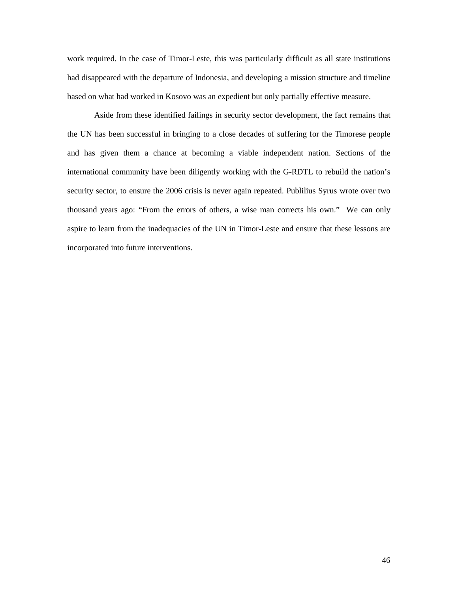work required. In the case of Timor-Leste, this was particularly difficult as all state institutions had disappeared with the departure of Indonesia, and developing a mission structure and timeline based on what had worked in Kosovo was an expedient but only partially effective measure.

Aside from these identified failings in security sector development, the fact remains that the UN has been successful in bringing to a close decades of suffering for the Timorese people and has given them a chance at becoming a viable independent nation. Sections of the international community have been diligently working with the G-RDTL to rebuild the nation's security sector, to ensure the 2006 crisis is never again repeated. Publilius Syrus wrote over two thousand years ago: "From the errors of others, a wise man corrects his own." We can only aspire to learn from the inadequacies of the UN in Timor-Leste and ensure that these lessons are incorporated into future interventions.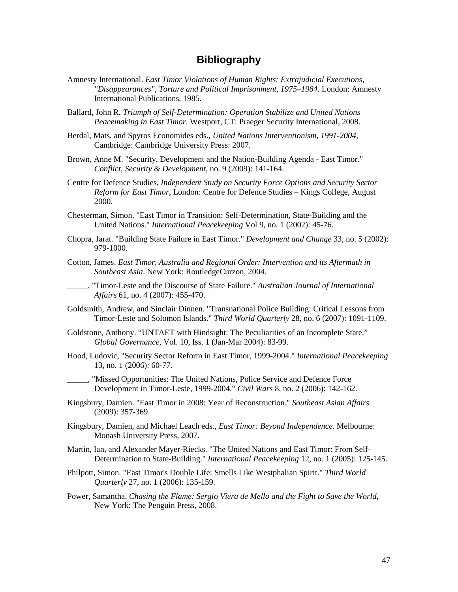## **Bibliography**

- <span id="page-52-0"></span>Amnesty International. *East Timor Violations of Human Rights: Extrajudicial Executions, "Disappearances", Torture and Political Imprisonment, 1975–1984*. London: Amnesty International Publications, 1985.
- Ballard, John R. *Triumph of Self-Determination: Operation Stabilize and United Nations Peacemaking in East Timor*. Westport, CT: Praeger Security International, 2008.
- Berdal, Mats, and Spyros Economides eds., *United Nations Interventionism, 1991-2004,* Cambridge: Cambridge University Press: 2007.
- Brown, Anne M. "Security, Development and the Nation-Building Agenda East Timor." *Conflict, Security & Development*, no. 9 (2009): 141-164.
- Centre for Defence Studies, *Independent Study on Security Force Options and Security Sector Reform for East Timor*, London: Centre for Defence Studies – Kings College, August 2000.
- Chesterman, Simon. "East Timor in Transition: Self-Determination, State-Building and the United Nations." *International Peacekeeping* Vol 9, no. 1 (2002): 45-76.
- Chopra, Jarat. "Building State Failure in East Timor." *Development and Change* 33, no. 5 (2002): 979-1000.
- Cotton, James. *East Timor, Australia and Regional Order: Intervention and its Aftermath in Southeast Asia*. New York: RoutledgeCurzon, 2004.
- \_\_\_\_\_, "Timor-Leste and the Discourse of State Failure." *Australian Journal of International Affairs* 61, no. 4 (2007): 455-470.
- Goldsmith, Andrew, and Sinclair Dinnen. "Transnational Police Building: Critical Lessons from Timor-Leste and Solomon Islands." *Third World Quarterly* 28, no. 6 (2007): 1091-1109.
- Goldstone, Anthony. "UNTAET with Hindsight: The Peculiarities of an Incomplete State." *Global Governance*, Vol. 10, Iss. 1 (Jan-Mar 2004): 83-99.
- Hood, Ludovic, "Security Sector Reform in East Timor, 1999-2004." *International Peacekeeping* 13, no. 1 (2006): 60-77.

\_\_\_\_\_, "Missed Opportunities: The United Nations, Police Service and Defence Force Development in Timor-Leste, 1999-2004." *Civil Wars* 8, no. 2 (2006): 142-162.

- Kingsbury, Damien. "East Timor in 2008: Year of Reconstruction." *Southeast Asian Affairs* (2009): 357-369.
- Kingsbury, Damien, and Michael Leach eds., *East Timor: Beyond Independence*. Melbourne: Monash University Press, 2007.
- Martin, Ian, and Alexander Mayer-Riecks. "The United Nations and East Timor: From Self-Determination to State-Building." *International Peacekeeping* 12, no. 1 (2005): 125-145.
- Philpott, Simon. "East Timor's Double Life: Smells Like Westphalian Spirit." *Third World Quarterly* 27, no. 1 (2006): 135-159.
- Power, Samantha. *Chasing the Flame: Sergio Viera de Mello and the Fight to Save the World*, New York: The Penguin Press, 2008.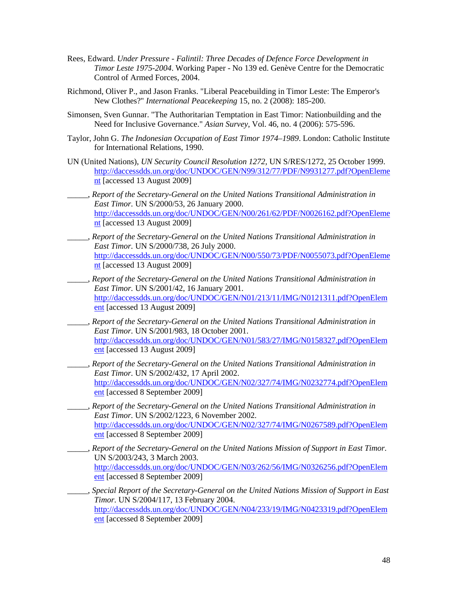- Rees, Edward. *Under Pressure Falintil: Three Decades of Defence Force Development in Timor Leste 1975-2004*. Working Paper - No 139 ed. Genève Centre for the Democratic Control of Armed Forces, 2004.
- Richmond, Oliver P., and Jason Franks. "Liberal Peacebuilding in Timor Leste: The Emperor's New Clothes?" *International Peacekeeping* 15, no. 2 (2008): 185-200.
- Simonsen, Sven Gunnar. "The Authoritarian Temptation in East Timor: Nationbuilding and the Need for Inclusive Governance." *Asian Survey*, Vol. 46, no. 4 (2006): 575-596.
- Taylor, John G. *The Indonesian Occupation of East Timor 1974–1989*. London: Catholic Institute for International Relations, 1990.
- UN (United Nations), *UN Security Council Resolution 1272,* UN S/RES/1272, 25 October 1999. [http://daccessdds.un.org/doc/UNDOC/GEN/N99/312/77/PDF/N9931277.pdf?OpenEleme](http://daccessdds.un.org/doc/UNDOC/GEN/N99/312/77/PDF/N9931277.pdf?OpenElement%20) [nt](http://daccessdds.un.org/doc/UNDOC/GEN/N99/312/77/PDF/N9931277.pdf?OpenElement%20) [accessed 13 August 2009]
- \_\_\_\_\_, *Report of the Secretary-General on the United Nations Transitional Administration in East Timor.* UN S/2000/53, 26 January 2000. [http://daccessdds.un.org/doc/UNDOC/GEN/N00/261/62/PDF/N0026162.pdf?OpenEleme](http://daccessdds.un.org/doc/UNDOC/GEN/N00/261/62/PDF/N0026162.pdf?OpenElement) [nt](http://daccessdds.un.org/doc/UNDOC/GEN/N00/261/62/PDF/N0026162.pdf?OpenElement) [accessed 13 August 2009]
- \_\_\_\_\_, *Report of the Secretary-General on the United Nations Transitional Administration in East Timor.* UN S/2000/738, 26 July 2000. [http://daccessdds.un.org/doc/UNDOC/GEN/N00/550/73/PDF/N0055073.pdf?OpenEleme](http://daccessdds.un.org/doc/UNDOC/GEN/N00/550/73/PDF/N0055073.pdf?OpenElement) [nt](http://daccessdds.un.org/doc/UNDOC/GEN/N00/550/73/PDF/N0055073.pdf?OpenElement) [accessed 13 August 2009]
- \_\_\_\_\_, *Report of the Secretary-General on the United Nations Transitional Administration in East Timor.* UN S/2001/42, 16 January 2001. [http://daccessdds.un.org/doc/UNDOC/GEN/N01/213/11/IMG/N0121311.pdf?OpenElem](http://daccessdds.un.org/doc/UNDOC/GEN/N01/213/11/IMG/N0121311.pdf?OpenElement) [ent](http://daccessdds.un.org/doc/UNDOC/GEN/N01/213/11/IMG/N0121311.pdf?OpenElement) [accessed 13 August 2009]
- \_\_\_\_\_, *Report of the Secretary-General on the United Nations Transitional Administration in East Timor.* UN S/2001/983, 18 October 2001. [http://daccessdds.un.org/doc/UNDOC/GEN/N01/583/27/IMG/N0158327.pdf?OpenElem](http://daccessdds.un.org/doc/UNDOC/GEN/N01/583/27/IMG/N0158327.pdf?OpenElement) [ent](http://daccessdds.un.org/doc/UNDOC/GEN/N01/583/27/IMG/N0158327.pdf?OpenElement) [accessed 13 August 2009]
- \_\_\_\_\_, *Report of the Secretary-General on the United Nations Transitional Administration in East Timor.* UN S/2002/432, 17 April 2002. [http://daccessdds.un.org/doc/UNDOC/GEN/N02/327/74/IMG/N0232774.pdf?OpenElem](http://daccessdds.un.org/doc/UNDOC/GEN/N02/327/74/IMG/N0232774.pdf?OpenElement) [ent](http://daccessdds.un.org/doc/UNDOC/GEN/N02/327/74/IMG/N0232774.pdf?OpenElement) [accessed 8 September 2009]
- \_\_\_\_\_, *Report of the Secretary-General on the United Nations Transitional Administration in East Timor.* UN S/2002/1223, 6 November 2002. [http://daccessdds.un.org/doc/UNDOC/GEN/N02/327/74/IMG/N0267589.pdf?OpenElem](http://daccessdds.un.org/doc/UNDOC/GEN/N02/327/74/IMG/N0267589.pdf?OpenElement) [ent](http://daccessdds.un.org/doc/UNDOC/GEN/N02/327/74/IMG/N0267589.pdf?OpenElement) [accessed 8 September 2009]
- \_\_\_\_\_, *Report of the Secretary-General on the United Nations Mission of Support in East Timor.* UN S/2003/243, 3 March 2003. [http://daccessdds.un.org/doc/UNDOC/GEN/N03/262/56/IMG/N0326256.pdf?OpenElem](http://daccessdds.un.org/doc/UNDOC/GEN/N03/262/56/IMG/N0326256.pdf?OpenElement) [ent](http://daccessdds.un.org/doc/UNDOC/GEN/N03/262/56/IMG/N0326256.pdf?OpenElement) [accessed 8 September 2009]
- \_\_\_\_\_, *Special Report of the Secretary-General on the United Nations Mission of Support in East Timor.* UN S/2004/117, 13 February 2004. [http://daccessdds.un.org/doc/UNDOC/GEN/N04/233/19/IMG/N0423319.pdf?OpenElem](http://daccessdds.un.org/doc/UNDOC/GEN/N04/233/19/IMG/N0423319.pdf?OpenElement) [ent](http://daccessdds.un.org/doc/UNDOC/GEN/N04/233/19/IMG/N0423319.pdf?OpenElement) [accessed 8 September 2009]